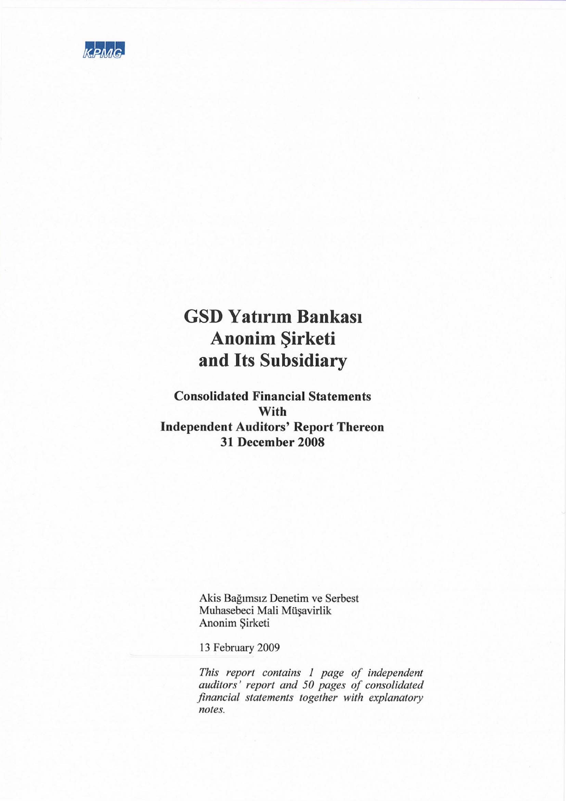

# **GSD Yatırım Bankası** Anonim Şirketi and Its Subsidiary

**Consolidated Financial Statements** With **Independent Auditors' Report Thereon** 31 December 2008

> Akis Bağımsız Denetim ve Serbest Muhasebeci Mali Müşavirlik Anonim Şirketi

13 February 2009

This report contains 1 page of independent<br>auditors' report and 50 pages of consolidated financial statements together with explanatory notes.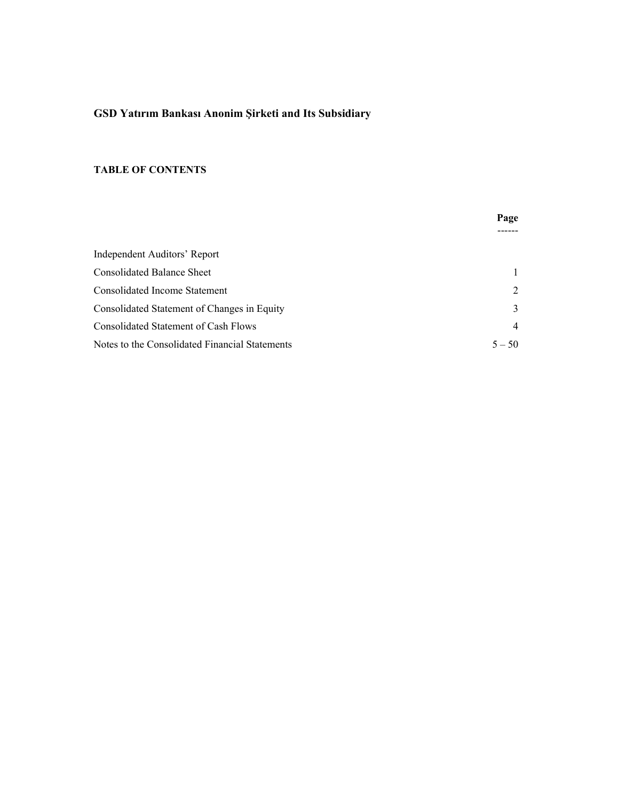# **GSD Yatırım Bankası Anonim Şirketi and Its Subsidiary**

#### **TABLE OF CONTENTS**

|                                                | Page           |
|------------------------------------------------|----------------|
|                                                |                |
| Independent Auditors' Report                   |                |
| <b>Consolidated Balance Sheet</b>              |                |
| Consolidated Income Statement                  | 2              |
| Consolidated Statement of Changes in Equity    | 3              |
| Consolidated Statement of Cash Flows           | $\overline{4}$ |
| Notes to the Consolidated Financial Statements | $5 - 50$       |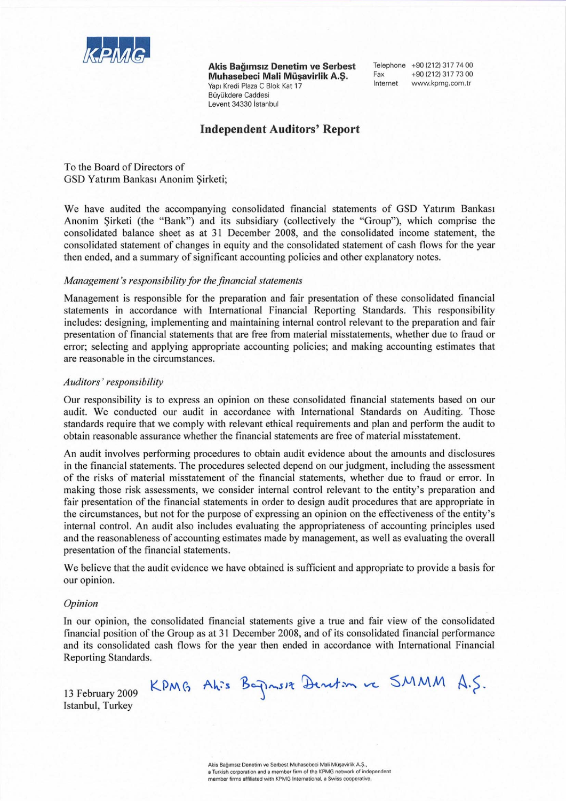

Akis Bağımsız Denetim ve Serbest Muhasebeci Mali Müsavirlik A.S. Yapı Kredi Plaza C Blok Kat 17 Büvükdere Caddesi Levent 34330 İstanbul

Telephone +90 (212) 317 74 00 Fax +90 (212) 317 73 00 Internet www.kpmg.com.tr

#### **Independent Auditors' Report**

To the Board of Directors of GSD Yatırım Bankası Anonim Sirketi;

We have audited the accompanying consolidated financial statements of GSD Yatırım Bankası Anonim Sirketi (the "Bank") and its subsidiary (collectively the "Group"), which comprise the consolidated balance sheet as at 31 December 2008, and the consolidated income statement, the consolidated statement of changes in equity and the consolidated statement of cash flows for the year then ended, and a summary of significant accounting policies and other explanatory notes.

#### Management's responsibility for the financial statements

Management is responsible for the preparation and fair presentation of these consolidated financial statements in accordance with International Financial Reporting Standards. This responsibility includes: designing, implementing and maintaining internal control relevant to the preparation and fair presentation of financial statements that are free from material misstatements, whether due to fraud or error; selecting and applying appropriate accounting policies; and making accounting estimates that are reasonable in the circumstances.

#### Auditors' responsibility

Our responsibility is to express an opinion on these consolidated financial statements based on our audit. We conducted our audit in accordance with International Standards on Auditing. Those standards require that we comply with relevant ethical requirements and plan and perform the audit to obtain reasonable assurance whether the financial statements are free of material misstatement.

An audit involves performing procedures to obtain audit evidence about the amounts and disclosures in the financial statements. The procedures selected depend on our judgment, including the assessment of the risks of material misstatement of the financial statements, whether due to fraud or error. In making those risk assessments, we consider internal control relevant to the entity's preparation and fair presentation of the financial statements in order to design audit procedures that are appropriate in the circumstances, but not for the purpose of expressing an opinion on the effectiveness of the entity's internal control. An audit also includes evaluating the appropriateness of accounting principles used and the reasonableness of accounting estimates made by management, as well as evaluating the overall presentation of the financial statements.

We believe that the audit evidence we have obtained is sufficient and appropriate to provide a basis for our opinion.

#### Opinion

In our opinion, the consolidated financial statements give a true and fair view of the consolidated financial position of the Group as at 31 December 2008, and of its consolidated financial performance and its consolidated cash flows for the year then ended in accordance with International Financial Reporting Standards.

13 February 2009 Istanbul, Turkey

Akis Bağımsız Denetim ve Serbest Muhasebeci Mali Müşavirlik A.Ş., a Turkish corporation and a member firm of the KPMG network of independent member firms affiliated with KPMG International, a Swiss cooperative

KPMG Ahis Bagnus Aenetin ve SMMM A.S.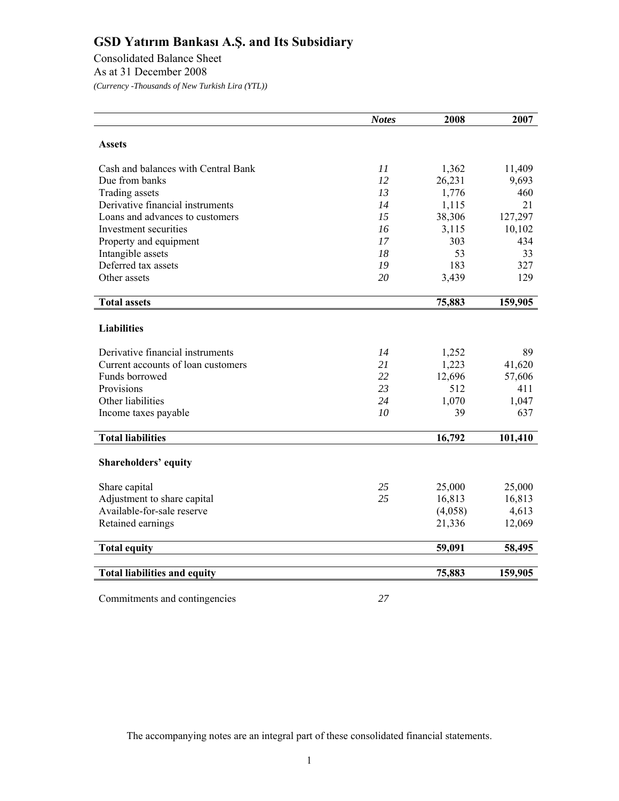Consolidated Balance Sheet As at 31 December 2008 *(Currency -Thousands of New Turkish Lira (YTL))* 

|                                     | <b>Notes</b> | 2008    | 2007    |
|-------------------------------------|--------------|---------|---------|
|                                     |              |         |         |
| <b>Assets</b>                       |              |         |         |
| Cash and balances with Central Bank | 11           | 1,362   | 11,409  |
| Due from banks                      | 12           | 26,231  | 9,693   |
| Trading assets                      | 13           | 1,776   | 460     |
| Derivative financial instruments    | 14           | 1,115   | 21      |
| Loans and advances to customers     | 15           | 38,306  | 127,297 |
| Investment securities               | 16           | 3,115   | 10,102  |
| Property and equipment              | 17           | 303     | 434     |
| Intangible assets                   | 18           | 53      | 33      |
| Deferred tax assets                 | 19           | 183     | 327     |
| Other assets                        | 20           | 3,439   | 129     |
|                                     |              |         |         |
| <b>Total assets</b>                 |              | 75,883  | 159,905 |
|                                     |              |         |         |
| <b>Liabilities</b>                  |              |         |         |
| Derivative financial instruments    | 14           | 1,252   | 89      |
| Current accounts of loan customers  | 21           | 1,223   | 41,620  |
| Funds borrowed                      | 22           | 12,696  | 57,606  |
| Provisions                          | 23           | 512     | 411     |
| Other liabilities                   | 24           | 1,070   | 1,047   |
| Income taxes payable                | 10           | 39      | 637     |
| <b>Total liabilities</b>            |              |         |         |
|                                     |              | 16,792  | 101,410 |
| <b>Shareholders' equity</b>         |              |         |         |
|                                     |              |         |         |
| Share capital                       | 25           | 25,000  | 25,000  |
| Adjustment to share capital         | 25           | 16,813  | 16,813  |
| Available-for-sale reserve          |              | (4,058) | 4,613   |
| Retained earnings                   |              | 21,336  | 12,069  |
| <b>Total equity</b>                 |              | 59,091  | 58,495  |
|                                     |              |         |         |
| <b>Total liabilities and equity</b> |              | 75,883  | 159,905 |
|                                     |              |         |         |
| Commitments and contingencies       | 27           |         |         |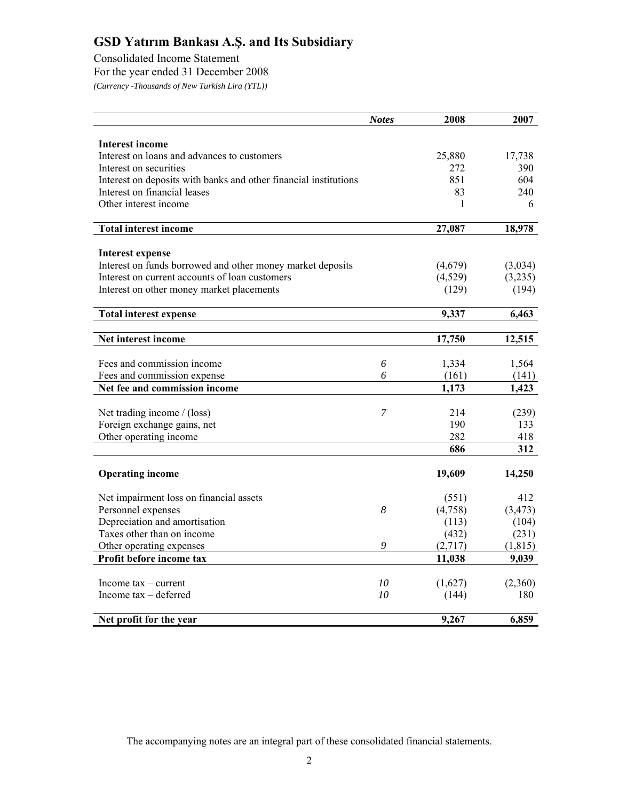Consolidated Income Statement

For the year ended 31 December 2008

*(Currency -Thousands of New Turkish Lira (YTL))* 

|                                                                  | <b>Notes</b>   | 2008    | 2007     |
|------------------------------------------------------------------|----------------|---------|----------|
|                                                                  |                |         |          |
| <b>Interest income</b>                                           |                |         |          |
| Interest on loans and advances to customers                      |                | 25,880  | 17,738   |
| Interest on securities                                           |                | 272     | 390      |
| Interest on deposits with banks and other financial institutions |                | 851     | 604      |
| Interest on financial leases                                     |                | 83      | 240      |
| Other interest income                                            |                | 1       | 6        |
| <b>Total interest income</b>                                     |                | 27,087  | 18,978   |
|                                                                  |                |         |          |
| <b>Interest expense</b>                                          |                |         |          |
| Interest on funds borrowed and other money market deposits       |                | (4,679) | (3,034)  |
| Interest on current accounts of loan customers                   |                | (4,529) | (3,235)  |
| Interest on other money market placements                        |                | (129)   | (194)    |
| <b>Total interest expense</b>                                    |                | 9,337   | 6,463    |
|                                                                  |                |         |          |
| Net interest income                                              |                | 17,750  | 12,515   |
|                                                                  |                |         |          |
| Fees and commission income                                       | 6              | 1,334   | 1,564    |
| Fees and commission expense                                      | 6              | (161)   | (141)    |
| Net fee and commission income                                    |                | 1,173   | 1,423    |
|                                                                  | $\overline{7}$ |         |          |
| Net trading income / (loss)                                      |                | 214     | (239)    |
| Foreign exchange gains, net                                      |                | 190     | 133      |
| Other operating income                                           |                | 282     | 418      |
|                                                                  |                | 686     | 312      |
| <b>Operating income</b>                                          |                | 19,609  | 14,250   |
| Net impairment loss on financial assets                          |                | (551)   | 412      |
| Personnel expenses                                               | 8              | (4,758) | (3, 473) |
| Depreciation and amortisation                                    |                | (113)   | (104)    |
| Taxes other than on income                                       |                | (432)   | (231)    |
| Other operating expenses                                         | 9              | (2,717) | (1, 815) |
| Profit before income tax                                         |                | 11,038  | 9,039    |
|                                                                  |                |         |          |
| Income $tax - current$                                           | 10             | (1,627) | (2,360)  |
| Income $tax - deferred$                                          | 10             | (144)   | 180      |
|                                                                  |                |         |          |
| Net profit for the year                                          |                | 9,267   | 6,859    |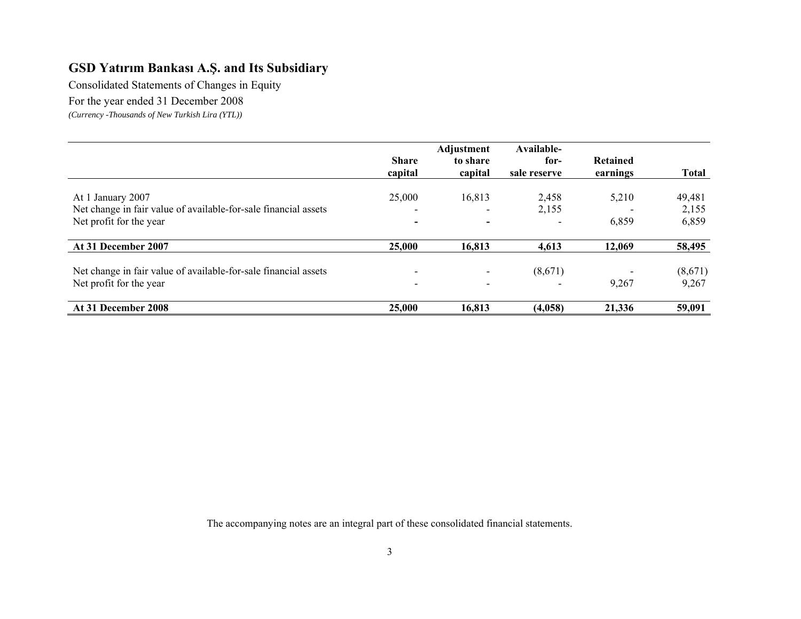Consolidated Statements of Changes in Equity

For the year ended 31 December 2008

*(Currency -Thousands of New Turkish Lira (YTL))* 

|                                                                 | <b>Share</b><br>capital  | Adjustment<br>to share<br>capital | Available-<br>for-<br>sale reserve | <b>Retained</b><br>earnings | <b>Total</b> |
|-----------------------------------------------------------------|--------------------------|-----------------------------------|------------------------------------|-----------------------------|--------------|
| At 1 January 2007                                               | 25,000                   | 16,813                            | 2,458                              | 5,210                       | 49,481       |
| Net change in fair value of available-for-sale financial assets | $\overline{\phantom{0}}$ |                                   | 2,155                              |                             | 2,155        |
| Net profit for the year                                         | $\overline{\phantom{a}}$ | $\overline{\phantom{0}}$          |                                    | 6,859                       | 6,859        |
| At 31 December 2007                                             | 25,000                   | 16,813                            | 4,613                              | 12,069                      | 58,495       |
| Net change in fair value of available-for-sale financial assets | $\overline{\phantom{a}}$ |                                   | (8,671)                            |                             | (8,671)      |
| Net profit for the year                                         | $\blacksquare$           | $\overline{\phantom{a}}$          |                                    | 9,267                       | 9,267        |
| At 31 December 2008                                             | 25,000                   | 16,813                            | (4,058)                            | 21,336                      | 59,091       |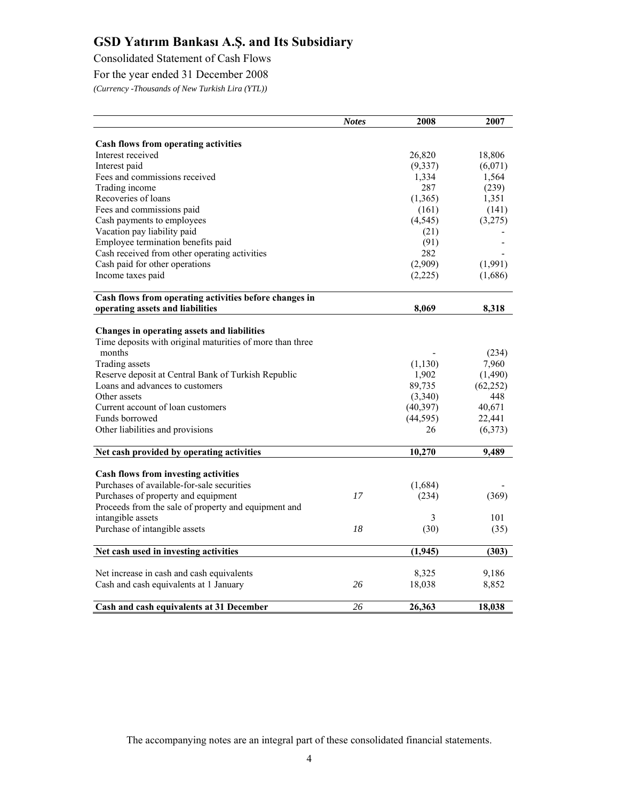Consolidated Statement of Cash Flows

For the year ended 31 December 2008

*(Currency -Thousands of New Turkish Lira (YTL))* 

|                                                           | <b>Notes</b> | 2008      | 2007      |
|-----------------------------------------------------------|--------------|-----------|-----------|
|                                                           |              |           |           |
| <b>Cash flows from operating activities</b>               |              |           |           |
| Interest received                                         |              | 26,820    | 18,806    |
| Interest paid                                             |              | (9, 337)  | (6,071)   |
| Fees and commissions received                             |              | 1,334     | 1,564     |
| Trading income                                            |              | 287       | (239)     |
| Recoveries of loans                                       |              | (1,365)   | 1,351     |
| Fees and commissions paid                                 |              | (161)     | (141)     |
| Cash payments to employees                                |              | (4, 545)  | (3,275)   |
| Vacation pay liability paid                               |              | (21)      |           |
| Employee termination benefits paid                        |              | (91)      |           |
| Cash received from other operating activities             |              | 282       |           |
| Cash paid for other operations                            |              | (2,909)   | (1,991)   |
| Income taxes paid                                         |              | (2,225)   | (1,686)   |
| Cash flows from operating activities before changes in    |              |           |           |
| operating assets and liabilities                          |              | 8,069     | 8,318     |
| Changes in operating assets and liabilities               |              |           |           |
| Time deposits with original maturities of more than three |              |           |           |
| months                                                    |              |           | (234)     |
| Trading assets                                            |              | (1, 130)  | 7,960     |
| Reserve deposit at Central Bank of Turkish Republic       |              | 1,902     | (1,490)   |
| Loans and advances to customers                           |              | 89,735    | (62, 252) |
| Other assets                                              |              | (3,340)   | 448       |
| Current account of loan customers                         |              | (40, 397) | 40,671    |
| Funds borrowed                                            |              | (44, 595) | 22,441    |
| Other liabilities and provisions                          |              | 26        | (6,373)   |
|                                                           |              |           |           |
| Net cash provided by operating activities                 |              | 10,270    | 9,489     |
| Cash flows from investing activities                      |              |           |           |
| Purchases of available-for-sale securities                |              | (1,684)   |           |
| Purchases of property and equipment                       | 17           | (234)     | (369)     |
| Proceeds from the sale of property and equipment and      |              |           |           |
| intangible assets                                         |              | 3         | 101       |
| Purchase of intangible assets                             | 18           | (30)      | (35)      |
|                                                           |              |           |           |
| Net cash used in investing activities                     |              | (1,945)   | (303)     |
| Net increase in cash and cash equivalents                 |              | 8,325     | 9,186     |
| Cash and cash equivalents at 1 January                    | 26           | 18,038    | 8,852     |
|                                                           |              |           |           |
| Cash and cash equivalents at 31 December                  | 26           | 26,363    | 18,038    |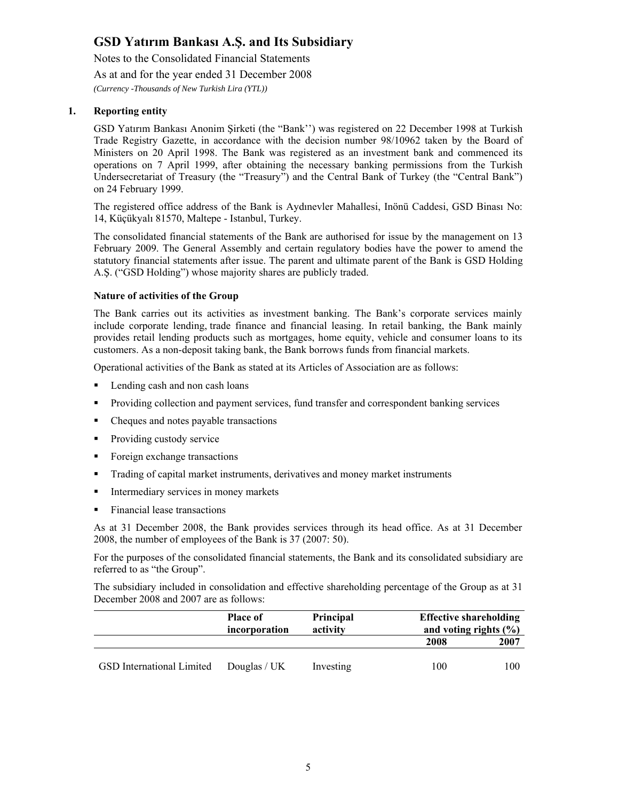Notes to the Consolidated Financial Statements As at and for the year ended 31 December 2008 *(Currency -Thousands of New Turkish Lira (YTL))* 

#### **1. Reporting entity**

GSD Yatırım Bankası Anonim Şirketi (the "Bank'') was registered on 22 December 1998 at Turkish Trade Registry Gazette, in accordance with the decision number 98/10962 taken by the Board of Ministers on 20 April 1998. The Bank was registered as an investment bank and commenced its operations on 7 April 1999, after obtaining the necessary banking permissions from the Turkish Undersecretariat of Treasury (the "Treasury") and the Central Bank of Turkey (the "Central Bank") on 24 February 1999.

The registered office address of the Bank is Aydınevler Mahallesi, Inönü Caddesi, GSD Binası No: 14, Küçükyalı 81570, Maltepe - Istanbul, Turkey.

The consolidated financial statements of the Bank are authorised for issue by the management on 13 February 2009. The General Assembly and certain regulatory bodies have the power to amend the statutory financial statements after issue. The parent and ultimate parent of the Bank is GSD Holding A.Ş. ("GSD Holding") whose majority shares are publicly traded.

#### **Nature of activities of the Group**

The Bank carries out its activities as investment banking. The Bank's corporate services mainly include corporate lending, trade finance and financial leasing. In retail banking, the Bank mainly provides retail lending products such as mortgages, home equity, vehicle and consumer loans to its customers. As a non-deposit taking bank, the Bank borrows funds from financial markets.

Operational activities of the Bank as stated at its Articles of Association are as follows:

- Lending cash and non cash loans
- Providing collection and payment services, fund transfer and correspondent banking services
- Cheques and notes payable transactions
- **Providing custody service**
- Foreign exchange transactions
- Trading of capital market instruments, derivatives and money market instruments
- Intermediary services in money markets
- Financial lease transactions

As at 31 December 2008, the Bank provides services through its head office. As at 31 December 2008, the number of employees of the Bank is 37 (2007: 50).

For the purposes of the consolidated financial statements, the Bank and its consolidated subsidiary are referred to as "the Group".

The subsidiary included in consolidation and effective shareholding percentage of the Group as at 31 December 2008 and 2007 are as follows:

|                                  | <b>Place of</b><br>incorporation | Principal<br>activity | <b>Effective shareholding</b><br>and voting rights $(\% )$ |
|----------------------------------|----------------------------------|-----------------------|------------------------------------------------------------|
|                                  |                                  |                       | 2007<br>2008                                               |
| <b>GSD</b> International Limited | Douglas / $UK$                   | Investing             | 100<br>100                                                 |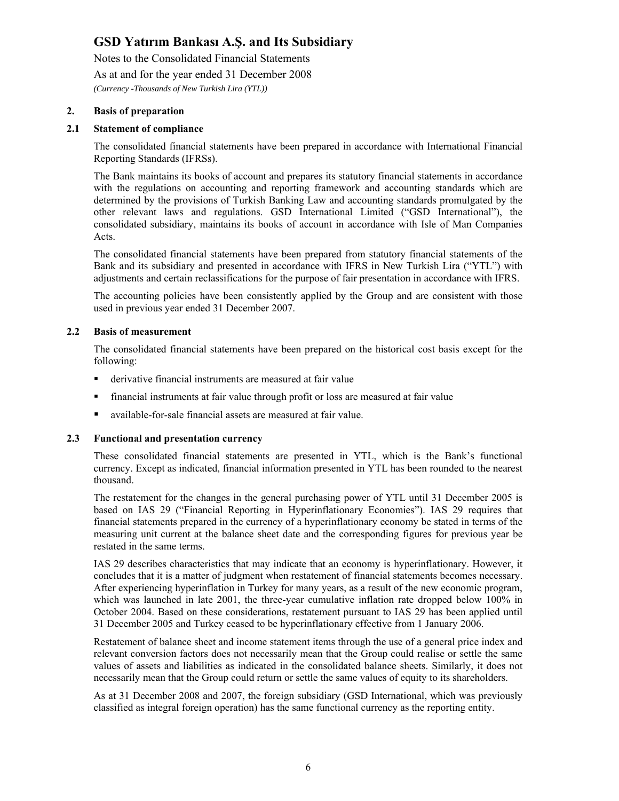Notes to the Consolidated Financial Statements

As at and for the year ended 31 December 2008

*(Currency -Thousands of New Turkish Lira (YTL))* 

#### **2. Basis of preparation**

#### **2.1 Statement of compliance**

The consolidated financial statements have been prepared in accordance with International Financial Reporting Standards (IFRSs).

The Bank maintains its books of account and prepares its statutory financial statements in accordance with the regulations on accounting and reporting framework and accounting standards which are determined by the provisions of Turkish Banking Law and accounting standards promulgated by the other relevant laws and regulations. GSD International Limited ("GSD International"), the consolidated subsidiary, maintains its books of account in accordance with Isle of Man Companies Acts.

The consolidated financial statements have been prepared from statutory financial statements of the Bank and its subsidiary and presented in accordance with IFRS in New Turkish Lira ("YTL") with adjustments and certain reclassifications for the purpose of fair presentation in accordance with IFRS.

The accounting policies have been consistently applied by the Group and are consistent with those used in previous year ended 31 December 2007.

#### **2.2 Basis of measurement**

The consolidated financial statements have been prepared on the historical cost basis except for the following:

- derivative financial instruments are measured at fair value
- financial instruments at fair value through profit or loss are measured at fair value
- available-for-sale financial assets are measured at fair value.

#### **2.3 Functional and presentation currency**

These consolidated financial statements are presented in YTL, which is the Bank's functional currency. Except as indicated, financial information presented in YTL has been rounded to the nearest thousand.

The restatement for the changes in the general purchasing power of YTL until 31 December 2005 is based on IAS 29 ("Financial Reporting in Hyperinflationary Economies"). IAS 29 requires that financial statements prepared in the currency of a hyperinflationary economy be stated in terms of the measuring unit current at the balance sheet date and the corresponding figures for previous year be restated in the same terms.

IAS 29 describes characteristics that may indicate that an economy is hyperinflationary. However, it concludes that it is a matter of judgment when restatement of financial statements becomes necessary. After experiencing hyperinflation in Turkey for many years, as a result of the new economic program, which was launched in late 2001, the three-year cumulative inflation rate dropped below 100% in October 2004. Based on these considerations, restatement pursuant to IAS 29 has been applied until 31 December 2005 and Turkey ceased to be hyperinflationary effective from 1 January 2006.

Restatement of balance sheet and income statement items through the use of a general price index and relevant conversion factors does not necessarily mean that the Group could realise or settle the same values of assets and liabilities as indicated in the consolidated balance sheets. Similarly, it does not necessarily mean that the Group could return or settle the same values of equity to its shareholders.

As at 31 December 2008 and 2007, the foreign subsidiary (GSD International, which was previously classified as integral foreign operation) has the same functional currency as the reporting entity.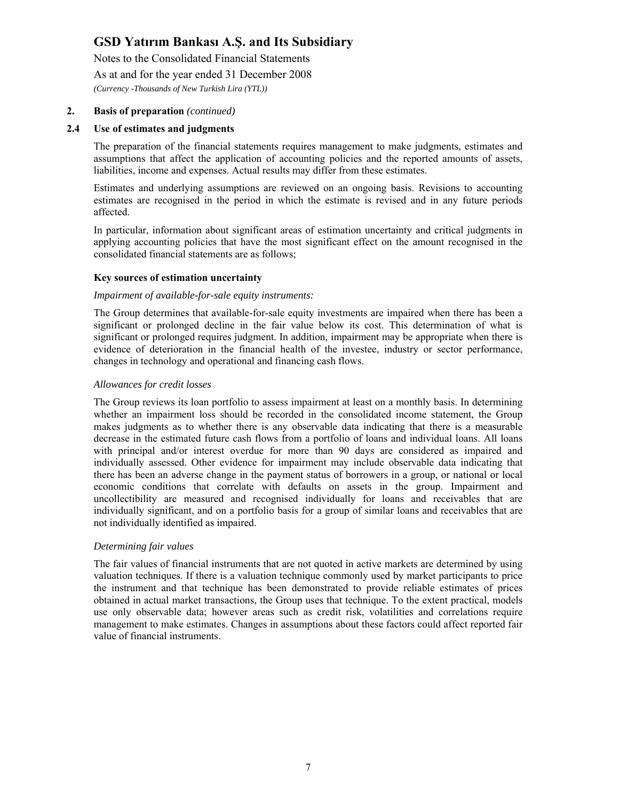Notes to the Consolidated Financial Statements

As at and for the year ended 31 December 2008

*(Currency -Thousands of New Turkish Lira (YTL))* 

#### **2. Basis of preparation** *(continued)*

#### **2.4 Use of estimates and judgments**

The preparation of the financial statements requires management to make judgments, estimates and assumptions that affect the application of accounting policies and the reported amounts of assets, liabilities, income and expenses. Actual results may differ from these estimates.

Estimates and underlying assumptions are reviewed on an ongoing basis. Revisions to accounting estimates are recognised in the period in which the estimate is revised and in any future periods affected.

In particular, information about significant areas of estimation uncertainty and critical judgments in applying accounting policies that have the most significant effect on the amount recognised in the consolidated financial statements are as follows;

#### **Key sources of estimation uncertainty**

#### *Impairment of available-for-sale equity instruments:*

 The Group determines that available-for-sale equity investments are impaired when there has been a significant or prolonged decline in the fair value below its cost. This determination of what is significant or prolonged requires judgment. In addition, impairment may be appropriate when there is evidence of deterioration in the financial health of the investee, industry or sector performance, changes in technology and operational and financing cash flows.

#### *Allowances for credit losses*

The Group reviews its loan portfolio to assess impairment at least on a monthly basis. In determining whether an impairment loss should be recorded in the consolidated income statement, the Group makes judgments as to whether there is any observable data indicating that there is a measurable decrease in the estimated future cash flows from a portfolio of loans and individual loans. All loans with principal and/or interest overdue for more than 90 days are considered as impaired and individually assessed. Other evidence for impairment may include observable data indicating that there has been an adverse change in the payment status of borrowers in a group, or national or local economic conditions that correlate with defaults on assets in the group. Impairment and uncollectibility are measured and recognised individually for loans and receivables that are individually significant, and on a portfolio basis for a group of similar loans and receivables that are not individually identified as impaired.

#### *Determining fair values*

The fair values of financial instruments that are not quoted in active markets are determined by using valuation techniques. If there is a valuation technique commonly used by market participants to price the instrument and that technique has been demonstrated to provide reliable estimates of prices obtained in actual market transactions, the Group uses that technique. To the extent practical, models use only observable data; however areas such as credit risk, volatilities and correlations require management to make estimates. Changes in assumptions about these factors could affect reported fair value of financial instruments.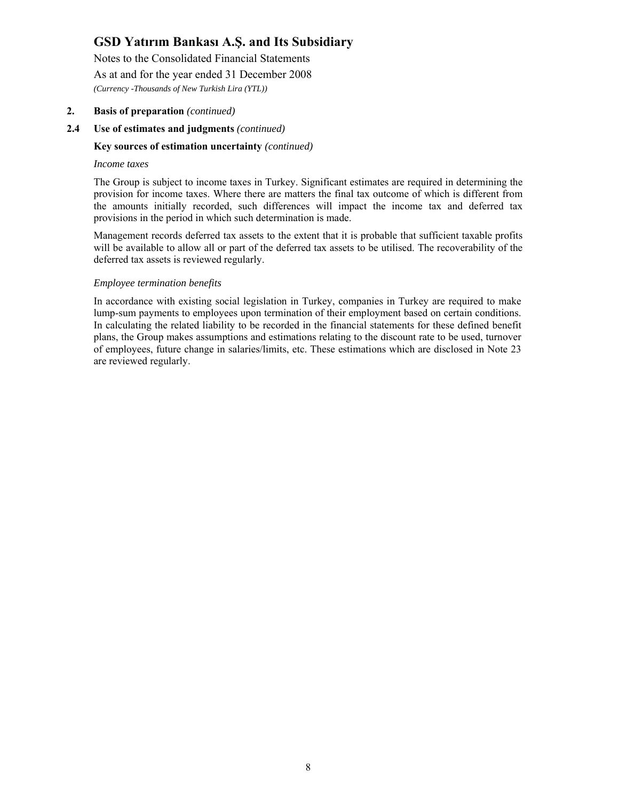Notes to the Consolidated Financial Statements As at and for the year ended 31 December 2008 *(Currency -Thousands of New Turkish Lira (YTL))* 

#### **2. Basis of preparation** *(continued)*

#### **2.4 Use of estimates and judgments** *(continued)*

#### **Key sources of estimation uncertainty** *(continued)*

#### *Income taxes*

The Group is subject to income taxes in Turkey. Significant estimates are required in determining the provision for income taxes. Where there are matters the final tax outcome of which is different from the amounts initially recorded, such differences will impact the income tax and deferred tax provisions in the period in which such determination is made.

Management records deferred tax assets to the extent that it is probable that sufficient taxable profits will be available to allow all or part of the deferred tax assets to be utilised. The recoverability of the deferred tax assets is reviewed regularly.

#### *Employee termination benefits*

In accordance with existing social legislation in Turkey, companies in Turkey are required to make lump-sum payments to employees upon termination of their employment based on certain conditions. In calculating the related liability to be recorded in the financial statements for these defined benefit plans, the Group makes assumptions and estimations relating to the discount rate to be used, turnover of employees, future change in salaries/limits, etc. These estimations which are disclosed in Note 23 are reviewed regularly.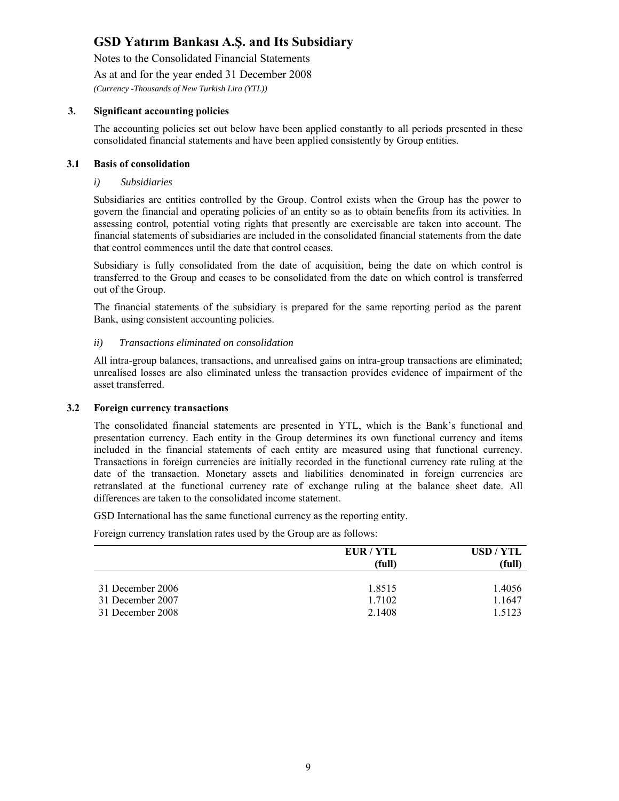Notes to the Consolidated Financial Statements

As at and for the year ended 31 December 2008

*(Currency -Thousands of New Turkish Lira (YTL))* 

#### **3. Significant accounting policies**

The accounting policies set out below have been applied constantly to all periods presented in these consolidated financial statements and have been applied consistently by Group entities.

#### **3.1 Basis of consolidation**

#### *i) Subsidiaries*

Subsidiaries are entities controlled by the Group. Control exists when the Group has the power to govern the financial and operating policies of an entity so as to obtain benefits from its activities. In assessing control, potential voting rights that presently are exercisable are taken into account. The financial statements of subsidiaries are included in the consolidated financial statements from the date that control commences until the date that control ceases.

Subsidiary is fully consolidated from the date of acquisition, being the date on which control is transferred to the Group and ceases to be consolidated from the date on which control is transferred out of the Group.

The financial statements of the subsidiary is prepared for the same reporting period as the parent Bank, using consistent accounting policies.

#### *ii) Transactions eliminated on consolidation*

All intra-group balances, transactions, and unrealised gains on intra-group transactions are eliminated; unrealised losses are also eliminated unless the transaction provides evidence of impairment of the asset transferred.

#### **3.2 Foreign currency transactions**

The consolidated financial statements are presented in YTL, which is the Bank's functional and presentation currency. Each entity in the Group determines its own functional currency and items included in the financial statements of each entity are measured using that functional currency. Transactions in foreign currencies are initially recorded in the functional currency rate ruling at the date of the transaction. Monetary assets and liabilities denominated in foreign currencies are retranslated at the functional currency rate of exchange ruling at the balance sheet date. All differences are taken to the consolidated income statement.

GSD International has the same functional currency as the reporting entity.

Foreign currency translation rates used by the Group are as follows:

|                  | EUR / YTL<br>(full) | USD / YTL<br>(full) |
|------------------|---------------------|---------------------|
| 31 December 2006 | 1.8515              | 1.4056              |
| 31 December 2007 | 1.7102              | 1.1647              |
| 31 December 2008 | 2.1408              | 1.5123              |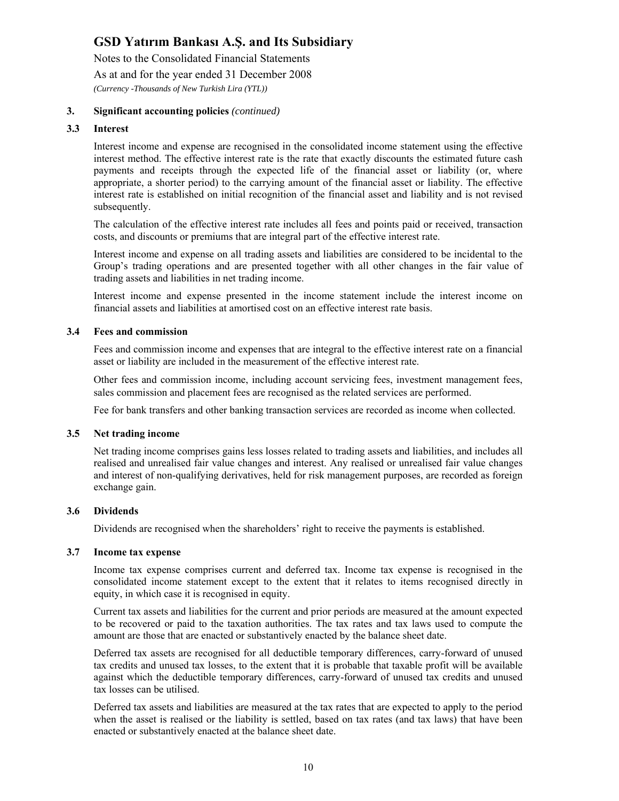Notes to the Consolidated Financial Statements As at and for the year ended 31 December 2008 *(Currency -Thousands of New Turkish Lira (YTL))* 

#### **3. Significant accounting policies** *(continued)*

#### **3.3 Interest**

Interest income and expense are recognised in the consolidated income statement using the effective interest method. The effective interest rate is the rate that exactly discounts the estimated future cash payments and receipts through the expected life of the financial asset or liability (or, where appropriate, a shorter period) to the carrying amount of the financial asset or liability. The effective interest rate is established on initial recognition of the financial asset and liability and is not revised subsequently.

The calculation of the effective interest rate includes all fees and points paid or received, transaction costs, and discounts or premiums that are integral part of the effective interest rate.

Interest income and expense on all trading assets and liabilities are considered to be incidental to the Group's trading operations and are presented together with all other changes in the fair value of trading assets and liabilities in net trading income.

Interest income and expense presented in the income statement include the interest income on financial assets and liabilities at amortised cost on an effective interest rate basis.

#### **3.4 Fees and commission**

Fees and commission income and expenses that are integral to the effective interest rate on a financial asset or liability are included in the measurement of the effective interest rate.

Other fees and commission income, including account servicing fees, investment management fees, sales commission and placement fees are recognised as the related services are performed.

Fee for bank transfers and other banking transaction services are recorded as income when collected.

#### **3.5 Net trading income**

Net trading income comprises gains less losses related to trading assets and liabilities, and includes all realised and unrealised fair value changes and interest. Any realised or unrealised fair value changes and interest of non-qualifying derivatives, held for risk management purposes, are recorded as foreign exchange gain.

#### **3.6 Dividends**

Dividends are recognised when the shareholders' right to receive the payments is established.

#### **3.7 Income tax expense**

Income tax expense comprises current and deferred tax. Income tax expense is recognised in the consolidated income statement except to the extent that it relates to items recognised directly in equity, in which case it is recognised in equity.

Current tax assets and liabilities for the current and prior periods are measured at the amount expected to be recovered or paid to the taxation authorities. The tax rates and tax laws used to compute the amount are those that are enacted or substantively enacted by the balance sheet date.

Deferred tax assets are recognised for all deductible temporary differences, carry-forward of unused tax credits and unused tax losses, to the extent that it is probable that taxable profit will be available against which the deductible temporary differences, carry-forward of unused tax credits and unused tax losses can be utilised.

Deferred tax assets and liabilities are measured at the tax rates that are expected to apply to the period when the asset is realised or the liability is settled, based on tax rates (and tax laws) that have been enacted or substantively enacted at the balance sheet date.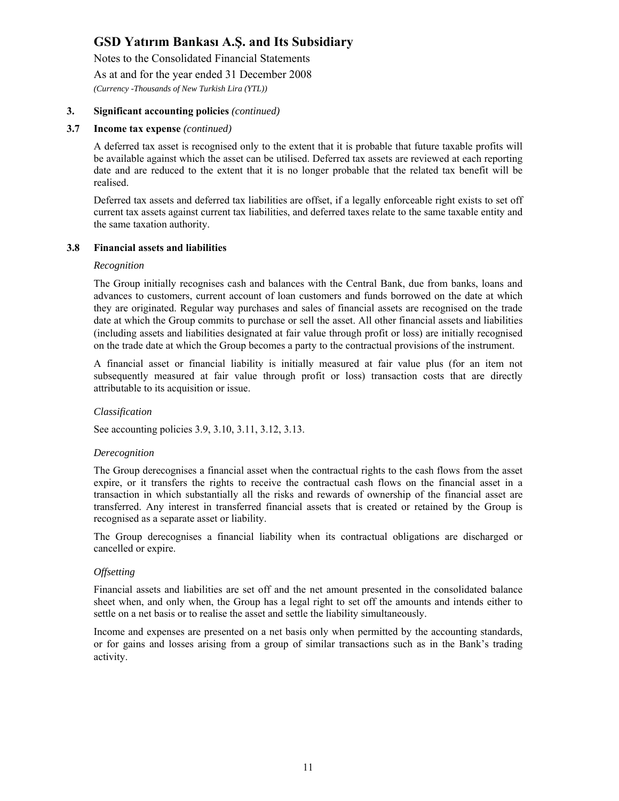Notes to the Consolidated Financial Statements

As at and for the year ended 31 December 2008

*(Currency -Thousands of New Turkish Lira (YTL))* 

#### **3. Significant accounting policies** *(continued)*

#### **3.7 Income tax expense** *(continued)*

A deferred tax asset is recognised only to the extent that it is probable that future taxable profits will be available against which the asset can be utilised. Deferred tax assets are reviewed at each reporting date and are reduced to the extent that it is no longer probable that the related tax benefit will be realised.

Deferred tax assets and deferred tax liabilities are offset, if a legally enforceable right exists to set off current tax assets against current tax liabilities, and deferred taxes relate to the same taxable entity and the same taxation authority.

#### **3.8 Financial assets and liabilities**

#### *Recognition*

The Group initially recognises cash and balances with the Central Bank, due from banks, loans and advances to customers, current account of loan customers and funds borrowed on the date at which they are originated. Regular way purchases and sales of financial assets are recognised on the trade date at which the Group commits to purchase or sell the asset. All other financial assets and liabilities (including assets and liabilities designated at fair value through profit or loss) are initially recognised on the trade date at which the Group becomes a party to the contractual provisions of the instrument.

A financial asset or financial liability is initially measured at fair value plus (for an item not subsequently measured at fair value through profit or loss) transaction costs that are directly attributable to its acquisition or issue.

#### *Classification*

See accounting policies 3.9, 3.10, 3.11, 3.12, 3.13.

#### *Derecognition*

The Group derecognises a financial asset when the contractual rights to the cash flows from the asset expire, or it transfers the rights to receive the contractual cash flows on the financial asset in a transaction in which substantially all the risks and rewards of ownership of the financial asset are transferred. Any interest in transferred financial assets that is created or retained by the Group is recognised as a separate asset or liability.

The Group derecognises a financial liability when its contractual obligations are discharged or cancelled or expire.

#### *Offsetting*

Financial assets and liabilities are set off and the net amount presented in the consolidated balance sheet when, and only when, the Group has a legal right to set off the amounts and intends either to settle on a net basis or to realise the asset and settle the liability simultaneously.

Income and expenses are presented on a net basis only when permitted by the accounting standards, or for gains and losses arising from a group of similar transactions such as in the Bank's trading activity.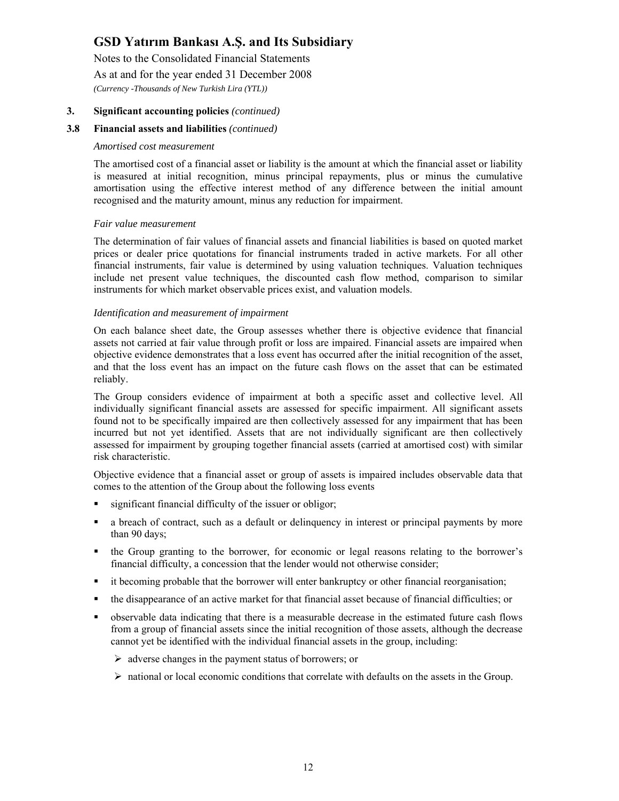Notes to the Consolidated Financial Statements As at and for the year ended 31 December 2008 *(Currency -Thousands of New Turkish Lira (YTL))* 

#### **3. Significant accounting policies** *(continued)*

#### **3.8 Financial assets and liabilities** *(continued)*

#### *Amortised cost measurement*

The amortised cost of a financial asset or liability is the amount at which the financial asset or liability is measured at initial recognition, minus principal repayments, plus or minus the cumulative amortisation using the effective interest method of any difference between the initial amount recognised and the maturity amount, minus any reduction for impairment.

#### *Fair value measurement*

The determination of fair values of financial assets and financial liabilities is based on quoted market prices or dealer price quotations for financial instruments traded in active markets. For all other financial instruments, fair value is determined by using valuation techniques. Valuation techniques include net present value techniques, the discounted cash flow method, comparison to similar instruments for which market observable prices exist, and valuation models.

#### *Identification and measurement of impairment*

On each balance sheet date, the Group assesses whether there is objective evidence that financial assets not carried at fair value through profit or loss are impaired. Financial assets are impaired when objective evidence demonstrates that a loss event has occurred after the initial recognition of the asset, and that the loss event has an impact on the future cash flows on the asset that can be estimated reliably.

The Group considers evidence of impairment at both a specific asset and collective level. All individually significant financial assets are assessed for specific impairment. All significant assets found not to be specifically impaired are then collectively assessed for any impairment that has been incurred but not yet identified. Assets that are not individually significant are then collectively assessed for impairment by grouping together financial assets (carried at amortised cost) with similar risk characteristic.

Objective evidence that a financial asset or group of assets is impaired includes observable data that comes to the attention of the Group about the following loss events

- significant financial difficulty of the issuer or obligor;
- a breach of contract, such as a default or delinquency in interest or principal payments by more than 90 days;
- the Group granting to the borrower, for economic or legal reasons relating to the borrower's financial difficulty, a concession that the lender would not otherwise consider;
- it becoming probable that the borrower will enter bankruptcy or other financial reorganisation;
- the disappearance of an active market for that financial asset because of financial difficulties; or
- observable data indicating that there is a measurable decrease in the estimated future cash flows from a group of financial assets since the initial recognition of those assets, although the decrease cannot yet be identified with the individual financial assets in the group, including:
	- $\triangleright$  adverse changes in the payment status of borrowers; or
	- $\triangleright$  national or local economic conditions that correlate with defaults on the assets in the Group.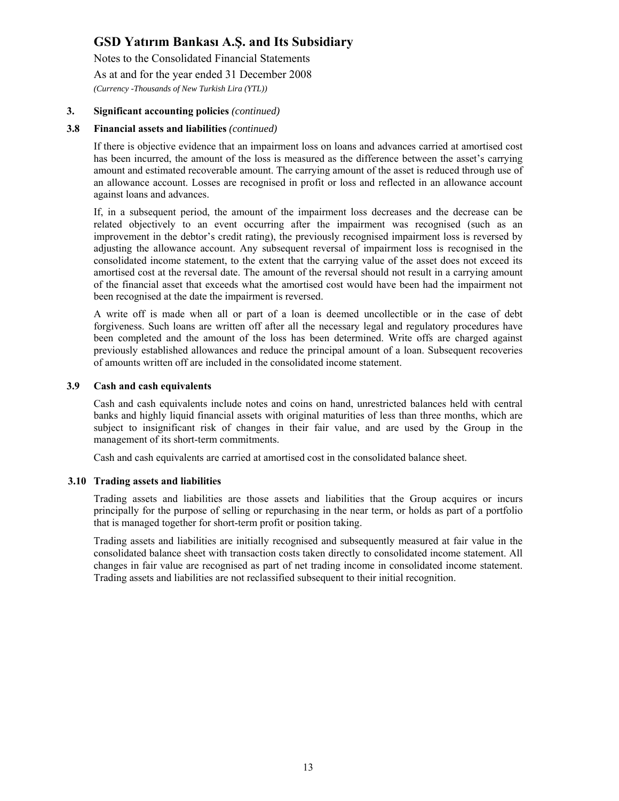Notes to the Consolidated Financial Statements As at and for the year ended 31 December 2008

*(Currency -Thousands of New Turkish Lira (YTL))* 

#### **3. Significant accounting policies** *(continued)*

#### **3.8 Financial assets and liabilities** *(continued)*

If there is objective evidence that an impairment loss on loans and advances carried at amortised cost has been incurred, the amount of the loss is measured as the difference between the asset's carrying amount and estimated recoverable amount. The carrying amount of the asset is reduced through use of an allowance account. Losses are recognised in profit or loss and reflected in an allowance account against loans and advances.

If, in a subsequent period, the amount of the impairment loss decreases and the decrease can be related objectively to an event occurring after the impairment was recognised (such as an improvement in the debtor's credit rating), the previously recognised impairment loss is reversed by adjusting the allowance account. Any subsequent reversal of impairment loss is recognised in the consolidated income statement, to the extent that the carrying value of the asset does not exceed its amortised cost at the reversal date. The amount of the reversal should not result in a carrying amount of the financial asset that exceeds what the amortised cost would have been had the impairment not been recognised at the date the impairment is reversed.

A write off is made when all or part of a loan is deemed uncollectible or in the case of debt forgiveness. Such loans are written off after all the necessary legal and regulatory procedures have been completed and the amount of the loss has been determined. Write offs are charged against previously established allowances and reduce the principal amount of a loan. Subsequent recoveries of amounts written off are included in the consolidated income statement.

#### **3.9 Cash and cash equivalents**

Cash and cash equivalents include notes and coins on hand, unrestricted balances held with central banks and highly liquid financial assets with original maturities of less than three months, which are subject to insignificant risk of changes in their fair value, and are used by the Group in the management of its short-term commitments.

Cash and cash equivalents are carried at amortised cost in the consolidated balance sheet.

#### **3.10 Trading assets and liabilities**

Trading assets and liabilities are those assets and liabilities that the Group acquires or incurs principally for the purpose of selling or repurchasing in the near term, or holds as part of a portfolio that is managed together for short-term profit or position taking.

Trading assets and liabilities are initially recognised and subsequently measured at fair value in the consolidated balance sheet with transaction costs taken directly to consolidated income statement. All changes in fair value are recognised as part of net trading income in consolidated income statement. Trading assets and liabilities are not reclassified subsequent to their initial recognition.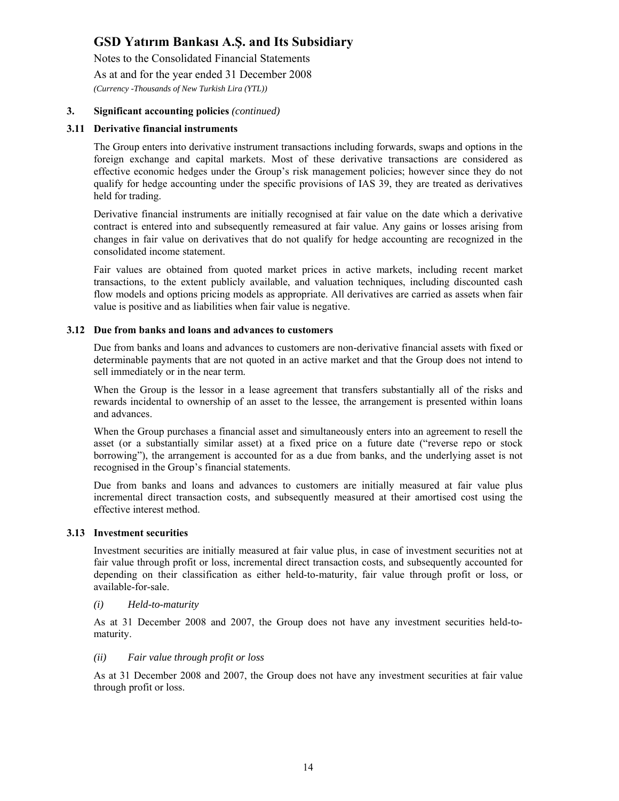Notes to the Consolidated Financial Statements As at and for the year ended 31 December 2008 *(Currency -Thousands of New Turkish Lira (YTL))* 

#### **3. Significant accounting policies** *(continued)*

#### **3.11 Derivative financial instruments**

The Group enters into derivative instrument transactions including forwards, swaps and options in the foreign exchange and capital markets. Most of these derivative transactions are considered as effective economic hedges under the Group's risk management policies; however since they do not qualify for hedge accounting under the specific provisions of IAS 39, they are treated as derivatives held for trading.

Derivative financial instruments are initially recognised at fair value on the date which a derivative contract is entered into and subsequently remeasured at fair value. Any gains or losses arising from changes in fair value on derivatives that do not qualify for hedge accounting are recognized in the consolidated income statement.

Fair values are obtained from quoted market prices in active markets, including recent market transactions, to the extent publicly available, and valuation techniques, including discounted cash flow models and options pricing models as appropriate. All derivatives are carried as assets when fair value is positive and as liabilities when fair value is negative.

#### **3.12 Due from banks and loans and advances to customers**

Due from banks and loans and advances to customers are non-derivative financial assets with fixed or determinable payments that are not quoted in an active market and that the Group does not intend to sell immediately or in the near term.

When the Group is the lessor in a lease agreement that transfers substantially all of the risks and rewards incidental to ownership of an asset to the lessee, the arrangement is presented within loans and advances.

When the Group purchases a financial asset and simultaneously enters into an agreement to resell the asset (or a substantially similar asset) at a fixed price on a future date ("reverse repo or stock borrowing"), the arrangement is accounted for as a due from banks, and the underlying asset is not recognised in the Group's financial statements.

Due from banks and loans and advances to customers are initially measured at fair value plus incremental direct transaction costs, and subsequently measured at their amortised cost using the effective interest method.

#### **3.13 Investment securities**

Investment securities are initially measured at fair value plus, in case of investment securities not at fair value through profit or loss, incremental direct transaction costs, and subsequently accounted for depending on their classification as either held-to-maturity, fair value through profit or loss, or available-for-sale.

#### *(i) Held-to-maturity*

As at 31 December 2008 and 2007, the Group does not have any investment securities held-tomaturity.

#### *(ii) Fair value through profit or loss*

As at 31 December 2008 and 2007, the Group does not have any investment securities at fair value through profit or loss.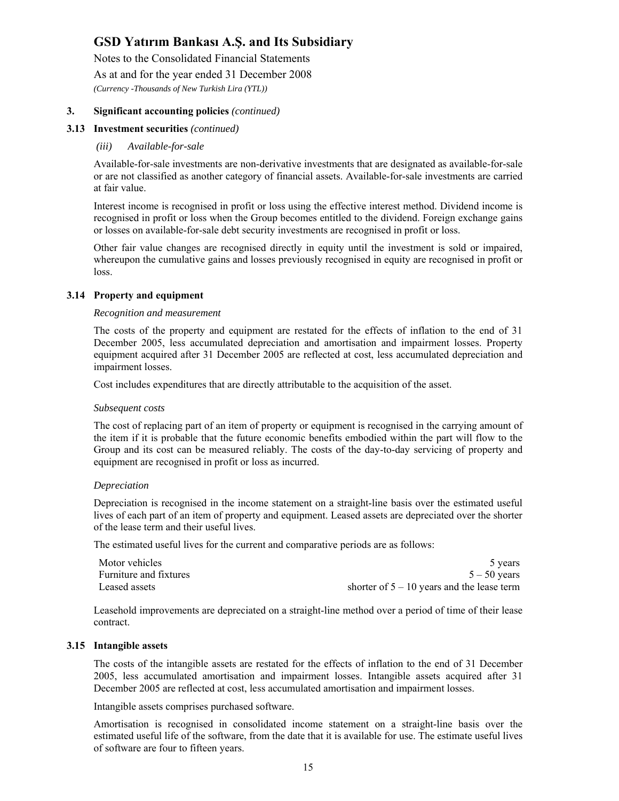Notes to the Consolidated Financial Statements

As at and for the year ended 31 December 2008

*(Currency -Thousands of New Turkish Lira (YTL))* 

#### **3. Significant accounting policies** *(continued)*

#### **3.13 Investment securities** *(continued)*

#### *(iii) Available-for-sale*

Available-for-sale investments are non-derivative investments that are designated as available-for-sale or are not classified as another category of financial assets. Available-for-sale investments are carried at fair value.

Interest income is recognised in profit or loss using the effective interest method. Dividend income is recognised in profit or loss when the Group becomes entitled to the dividend. Foreign exchange gains or losses on available-for-sale debt security investments are recognised in profit or loss.

Other fair value changes are recognised directly in equity until the investment is sold or impaired, whereupon the cumulative gains and losses previously recognised in equity are recognised in profit or loss.

#### **3.14 Property and equipment**

#### *Recognition and measurement*

The costs of the property and equipment are restated for the effects of inflation to the end of 31 December 2005, less accumulated depreciation and amortisation and impairment losses. Property equipment acquired after 31 December 2005 are reflected at cost, less accumulated depreciation and impairment losses.

Cost includes expenditures that are directly attributable to the acquisition of the asset.

#### *Subsequent costs*

The cost of replacing part of an item of property or equipment is recognised in the carrying amount of the item if it is probable that the future economic benefits embodied within the part will flow to the Group and its cost can be measured reliably. The costs of the day-to-day servicing of property and equipment are recognised in profit or loss as incurred.

#### *Depreciation*

Depreciation is recognised in the income statement on a straight-line basis over the estimated useful lives of each part of an item of property and equipment. Leased assets are depreciated over the shorter of the lease term and their useful lives.

The estimated useful lives for the current and comparative periods are as follows:

| Motor vehicles         | 5 years                                      |
|------------------------|----------------------------------------------|
| Furniture and fixtures | $5 - 50$ years                               |
| Leased assets          | shorter of $5 - 10$ years and the lease term |

Leasehold improvements are depreciated on a straight-line method over a period of time of their lease contract.

#### **3.15 Intangible assets**

The costs of the intangible assets are restated for the effects of inflation to the end of 31 December 2005, less accumulated amortisation and impairment losses. Intangible assets acquired after 31 December 2005 are reflected at cost, less accumulated amortisation and impairment losses.

Intangible assets comprises purchased software.

Amortisation is recognised in consolidated income statement on a straight-line basis over the estimated useful life of the software, from the date that it is available for use. The estimate useful lives of software are four to fifteen years.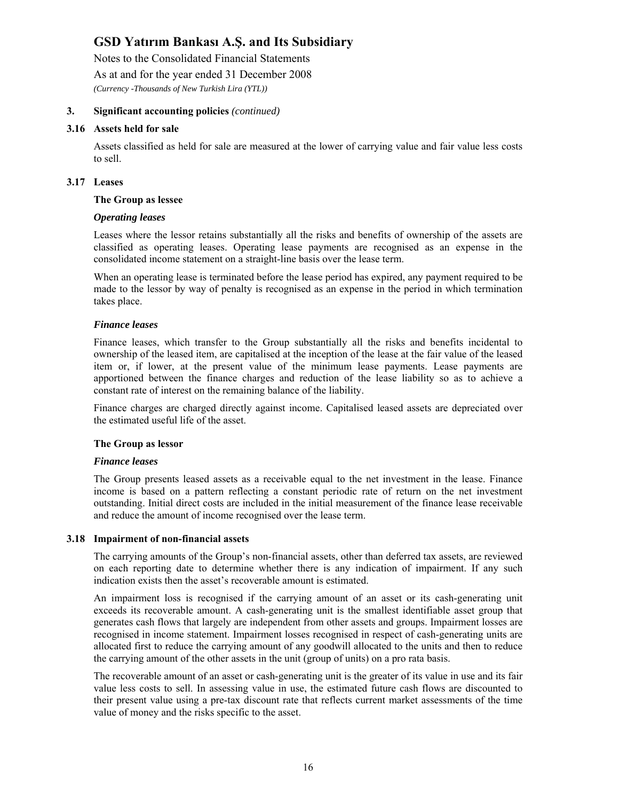Notes to the Consolidated Financial Statements

As at and for the year ended 31 December 2008

*(Currency -Thousands of New Turkish Lira (YTL))* 

#### **3. Significant accounting policies** *(continued)*

#### **3.16 Assets held for sale**

Assets classified as held for sale are measured at the lower of carrying value and fair value less costs to sell.

#### **3.17 Leases**

#### **The Group as lessee**

#### *Operating leases*

Leases where the lessor retains substantially all the risks and benefits of ownership of the assets are classified as operating leases. Operating lease payments are recognised as an expense in the consolidated income statement on a straight-line basis over the lease term.

When an operating lease is terminated before the lease period has expired, any payment required to be made to the lessor by way of penalty is recognised as an expense in the period in which termination takes place.

#### *Finance leases*

Finance leases, which transfer to the Group substantially all the risks and benefits incidental to ownership of the leased item, are capitalised at the inception of the lease at the fair value of the leased item or, if lower, at the present value of the minimum lease payments. Lease payments are apportioned between the finance charges and reduction of the lease liability so as to achieve a constant rate of interest on the remaining balance of the liability.

Finance charges are charged directly against income. Capitalised leased assets are depreciated over the estimated useful life of the asset.

#### **The Group as lessor**

#### *Finance leases*

The Group presents leased assets as a receivable equal to the net investment in the lease. Finance income is based on a pattern reflecting a constant periodic rate of return on the net investment outstanding. Initial direct costs are included in the initial measurement of the finance lease receivable and reduce the amount of income recognised over the lease term.

#### **3.18 Impairment of non-financial assets**

The carrying amounts of the Group's non-financial assets, other than deferred tax assets, are reviewed on each reporting date to determine whether there is any indication of impairment. If any such indication exists then the asset's recoverable amount is estimated.

An impairment loss is recognised if the carrying amount of an asset or its cash-generating unit exceeds its recoverable amount. A cash-generating unit is the smallest identifiable asset group that generates cash flows that largely are independent from other assets and groups. Impairment losses are recognised in income statement. Impairment losses recognised in respect of cash-generating units are allocated first to reduce the carrying amount of any goodwill allocated to the units and then to reduce the carrying amount of the other assets in the unit (group of units) on a pro rata basis.

The recoverable amount of an asset or cash-generating unit is the greater of its value in use and its fair value less costs to sell. In assessing value in use, the estimated future cash flows are discounted to their present value using a pre-tax discount rate that reflects current market assessments of the time value of money and the risks specific to the asset.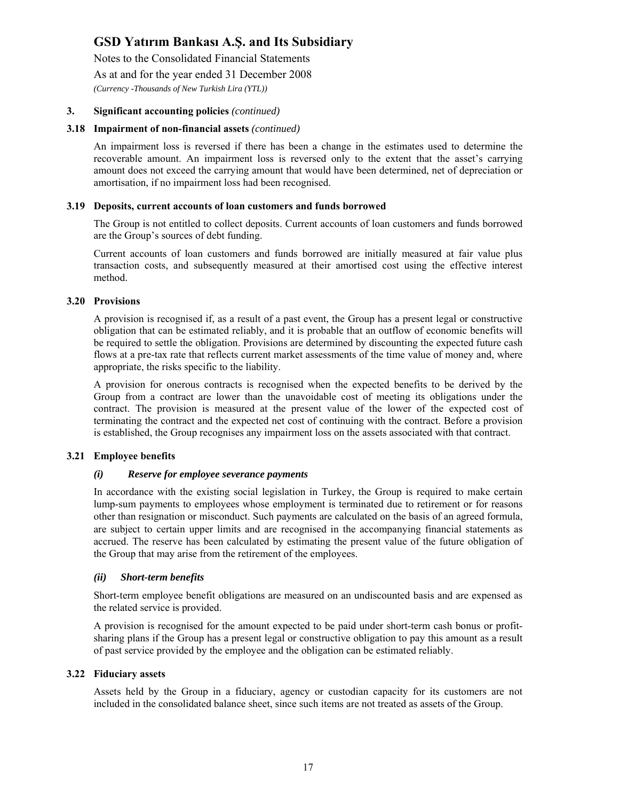Notes to the Consolidated Financial Statements

As at and for the year ended 31 December 2008

*(Currency -Thousands of New Turkish Lira (YTL))* 

#### **3. Significant accounting policies** *(continued)*

#### **3.18 Impairment of non-financial assets** *(continued)*

An impairment loss is reversed if there has been a change in the estimates used to determine the recoverable amount. An impairment loss is reversed only to the extent that the asset's carrying amount does not exceed the carrying amount that would have been determined, net of depreciation or amortisation, if no impairment loss had been recognised.

#### **3.19 Deposits, current accounts of loan customers and funds borrowed**

The Group is not entitled to collect deposits. Current accounts of loan customers and funds borrowed are the Group's sources of debt funding.

Current accounts of loan customers and funds borrowed are initially measured at fair value plus transaction costs, and subsequently measured at their amortised cost using the effective interest method.

#### **3.20 Provisions**

A provision is recognised if, as a result of a past event, the Group has a present legal or constructive obligation that can be estimated reliably, and it is probable that an outflow of economic benefits will be required to settle the obligation. Provisions are determined by discounting the expected future cash flows at a pre-tax rate that reflects current market assessments of the time value of money and, where appropriate, the risks specific to the liability.

A provision for onerous contracts is recognised when the expected benefits to be derived by the Group from a contract are lower than the unavoidable cost of meeting its obligations under the contract. The provision is measured at the present value of the lower of the expected cost of terminating the contract and the expected net cost of continuing with the contract. Before a provision is established, the Group recognises any impairment loss on the assets associated with that contract.

#### **3.21 Employee benefits**

#### *(i) Reserve for employee severance payments*

In accordance with the existing social legislation in Turkey, the Group is required to make certain lump-sum payments to employees whose employment is terminated due to retirement or for reasons other than resignation or misconduct. Such payments are calculated on the basis of an agreed formula, are subject to certain upper limits and are recognised in the accompanying financial statements as accrued. The reserve has been calculated by estimating the present value of the future obligation of the Group that may arise from the retirement of the employees.

#### *(ii) Short-term benefits*

Short-term employee benefit obligations are measured on an undiscounted basis and are expensed as the related service is provided.

A provision is recognised for the amount expected to be paid under short-term cash bonus or profitsharing plans if the Group has a present legal or constructive obligation to pay this amount as a result of past service provided by the employee and the obligation can be estimated reliably.

#### **3.22 Fiduciary assets**

Assets held by the Group in a fiduciary, agency or custodian capacity for its customers are not included in the consolidated balance sheet, since such items are not treated as assets of the Group.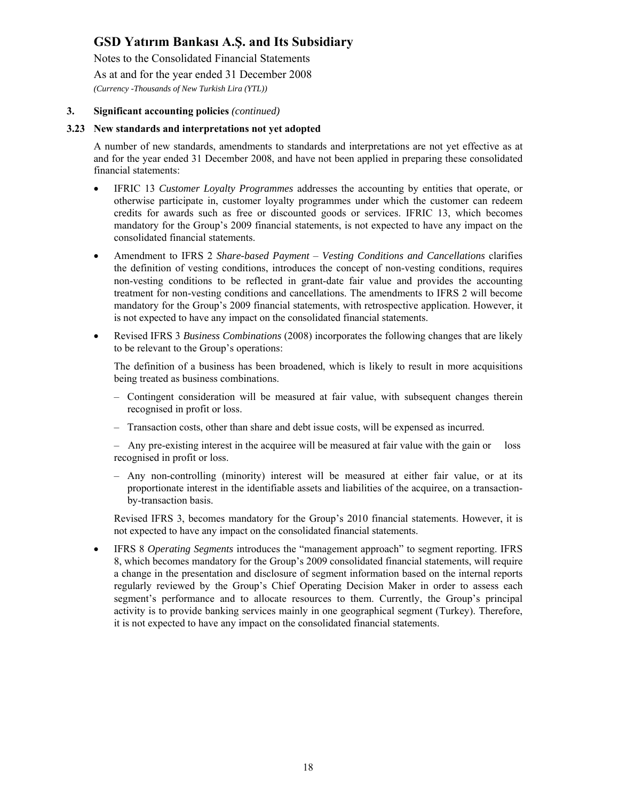Notes to the Consolidated Financial Statements

As at and for the year ended 31 December 2008

*(Currency -Thousands of New Turkish Lira (YTL))* 

#### **3. Significant accounting policies** *(continued)*

#### **3.23 New standards and interpretations not yet adopted**

A number of new standards, amendments to standards and interpretations are not yet effective as at and for the year ended 31 December 2008, and have not been applied in preparing these consolidated financial statements:

- IFRIC 13 *Customer Loyalty Programmes* addresses the accounting by entities that operate, or otherwise participate in, customer loyalty programmes under which the customer can redeem credits for awards such as free or discounted goods or services. IFRIC 13, which becomes mandatory for the Group's 2009 financial statements, is not expected to have any impact on the consolidated financial statements.
- Amendment to IFRS 2 *Share-based Payment Vesting Conditions and Cancellations* clarifies the definition of vesting conditions, introduces the concept of non-vesting conditions, requires non-vesting conditions to be reflected in grant-date fair value and provides the accounting treatment for non-vesting conditions and cancellations. The amendments to IFRS 2 will become mandatory for the Group's 2009 financial statements, with retrospective application. However, it is not expected to have any impact on the consolidated financial statements.
- Revised IFRS 3 *Business Combinations* (2008) incorporates the following changes that are likely to be relevant to the Group's operations:

The definition of a business has been broadened, which is likely to result in more acquisitions being treated as business combinations.

- Contingent consideration will be measured at fair value, with subsequent changes therein recognised in profit or loss.
- Transaction costs, other than share and debt issue costs, will be expensed as incurred.
- Any pre-existing interest in the acquiree will be measured at fair value with the gain or loss recognised in profit or loss.
- Any non-controlling (minority) interest will be measured at either fair value, or at its proportionate interest in the identifiable assets and liabilities of the acquiree, on a transactionby-transaction basis.

Revised IFRS 3, becomes mandatory for the Group's 2010 financial statements. However, it is not expected to have any impact on the consolidated financial statements.

• IFRS 8 *Operating Segments* introduces the "management approach" to segment reporting. IFRS 8, which becomes mandatory for the Group's 2009 consolidated financial statements, will require a change in the presentation and disclosure of segment information based on the internal reports regularly reviewed by the Group's Chief Operating Decision Maker in order to assess each segment's performance and to allocate resources to them. Currently, the Group's principal activity is to provide banking services mainly in one geographical segment (Turkey). Therefore, it is not expected to have any impact on the consolidated financial statements.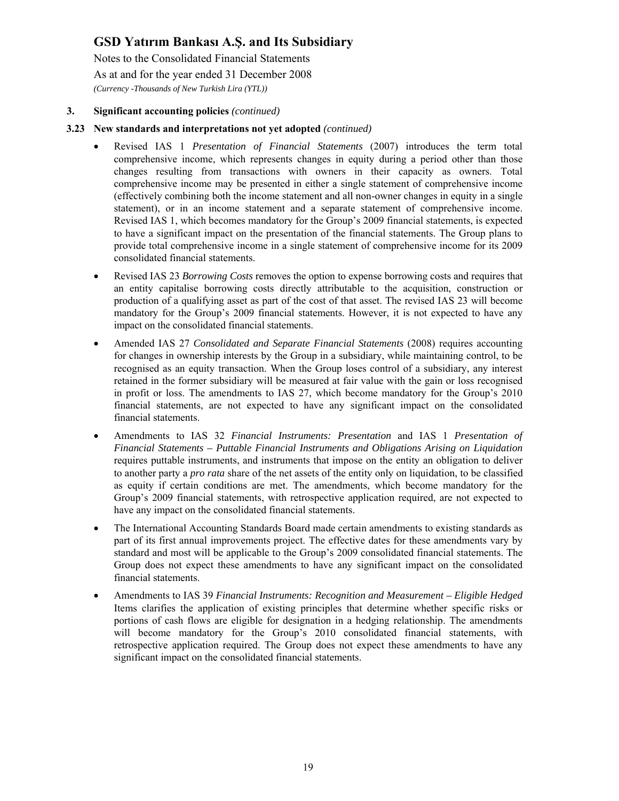Notes to the Consolidated Financial Statements As at and for the year ended 31 December 2008 *(Currency -Thousands of New Turkish Lira (YTL))* 

#### **3. Significant accounting policies** *(continued)*

#### **3.23 New standards and interpretations not yet adopted** *(continued)*

- Revised IAS 1 *Presentation of Financial Statements* (2007) introduces the term total comprehensive income, which represents changes in equity during a period other than those changes resulting from transactions with owners in their capacity as owners. Total comprehensive income may be presented in either a single statement of comprehensive income (effectively combining both the income statement and all non-owner changes in equity in a single statement), or in an income statement and a separate statement of comprehensive income. Revised IAS 1, which becomes mandatory for the Group's 2009 financial statements, is expected to have a significant impact on the presentation of the financial statements. The Group plans to provide total comprehensive income in a single statement of comprehensive income for its 2009 consolidated financial statements.
- Revised IAS 23 *Borrowing Costs* removes the option to expense borrowing costs and requires that an entity capitalise borrowing costs directly attributable to the acquisition, construction or production of a qualifying asset as part of the cost of that asset. The revised IAS 23 will become mandatory for the Group's 2009 financial statements. However, it is not expected to have any impact on the consolidated financial statements.
- Amended IAS 27 *Consolidated and Separate Financial Statements* (2008) requires accounting for changes in ownership interests by the Group in a subsidiary, while maintaining control, to be recognised as an equity transaction. When the Group loses control of a subsidiary, any interest retained in the former subsidiary will be measured at fair value with the gain or loss recognised in profit or loss. The amendments to IAS 27, which become mandatory for the Group's 2010 financial statements, are not expected to have any significant impact on the consolidated financial statements.
- Amendments to IAS 32 *Financial Instruments: Presentation* and IAS 1 *Presentation of Financial Statements – Puttable Financial Instruments and Obligations Arising on Liquidation* requires puttable instruments, and instruments that impose on the entity an obligation to deliver to another party a *pro rata* share of the net assets of the entity only on liquidation, to be classified as equity if certain conditions are met. The amendments, which become mandatory for the Group's 2009 financial statements, with retrospective application required, are not expected to have any impact on the consolidated financial statements.
- The International Accounting Standards Board made certain amendments to existing standards as part of its first annual improvements project. The effective dates for these amendments vary by standard and most will be applicable to the Group's 2009 consolidated financial statements. The Group does not expect these amendments to have any significant impact on the consolidated financial statements.
- Amendments to IAS 39 *Financial Instruments: Recognition and Measurement Eligible Hedged* Items clarifies the application of existing principles that determine whether specific risks or portions of cash flows are eligible for designation in a hedging relationship. The amendments will become mandatory for the Group's 2010 consolidated financial statements, with retrospective application required. The Group does not expect these amendments to have any significant impact on the consolidated financial statements.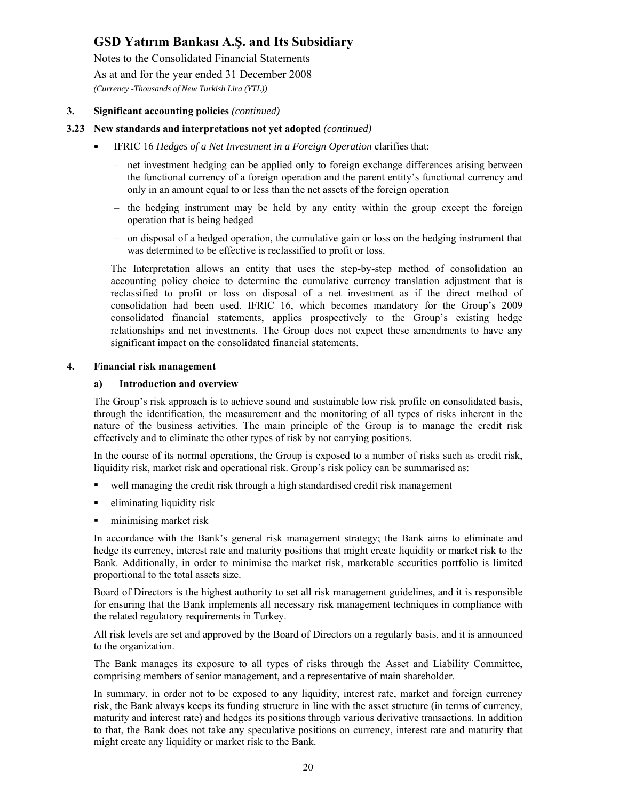Notes to the Consolidated Financial Statements As at and for the year ended 31 December 2008 *(Currency -Thousands of New Turkish Lira (YTL))* 

#### **3. Significant accounting policies** *(continued)*

#### **3.23 New standards and interpretations not yet adopted** *(continued)*

- IFRIC 16 *Hedges of a Net Investment in a Foreign Operation* clarifies that:
	- net investment hedging can be applied only to foreign exchange differences arising between the functional currency of a foreign operation and the parent entity's functional currency and only in an amount equal to or less than the net assets of the foreign operation
	- the hedging instrument may be held by any entity within the group except the foreign operation that is being hedged
	- on disposal of a hedged operation, the cumulative gain or loss on the hedging instrument that was determined to be effective is reclassified to profit or loss.

The Interpretation allows an entity that uses the step-by-step method of consolidation an accounting policy choice to determine the cumulative currency translation adjustment that is reclassified to profit or loss on disposal of a net investment as if the direct method of consolidation had been used. IFRIC 16, which becomes mandatory for the Group's 2009 consolidated financial statements, applies prospectively to the Group's existing hedge relationships and net investments. The Group does not expect these amendments to have any significant impact on the consolidated financial statements.

#### **4. Financial risk management**

#### **a) Introduction and overview**

The Group's risk approach is to achieve sound and sustainable low risk profile on consolidated basis, through the identification, the measurement and the monitoring of all types of risks inherent in the nature of the business activities. The main principle of the Group is to manage the credit risk effectively and to eliminate the other types of risk by not carrying positions.

In the course of its normal operations, the Group is exposed to a number of risks such as credit risk, liquidity risk, market risk and operational risk. Group's risk policy can be summarised as:

- well managing the credit risk through a high standardised credit risk management
- eliminating liquidity risk
- **numising market risk**

In accordance with the Bank's general risk management strategy; the Bank aims to eliminate and hedge its currency, interest rate and maturity positions that might create liquidity or market risk to the Bank. Additionally, in order to minimise the market risk, marketable securities portfolio is limited proportional to the total assets size.

Board of Directors is the highest authority to set all risk management guidelines, and it is responsible for ensuring that the Bank implements all necessary risk management techniques in compliance with the related regulatory requirements in Turkey.

All risk levels are set and approved by the Board of Directors on a regularly basis, and it is announced to the organization.

The Bank manages its exposure to all types of risks through the Asset and Liability Committee, comprising members of senior management, and a representative of main shareholder.

In summary, in order not to be exposed to any liquidity, interest rate, market and foreign currency risk, the Bank always keeps its funding structure in line with the asset structure (in terms of currency, maturity and interest rate) and hedges its positions through various derivative transactions. In addition to that, the Bank does not take any speculative positions on currency, interest rate and maturity that might create any liquidity or market risk to the Bank.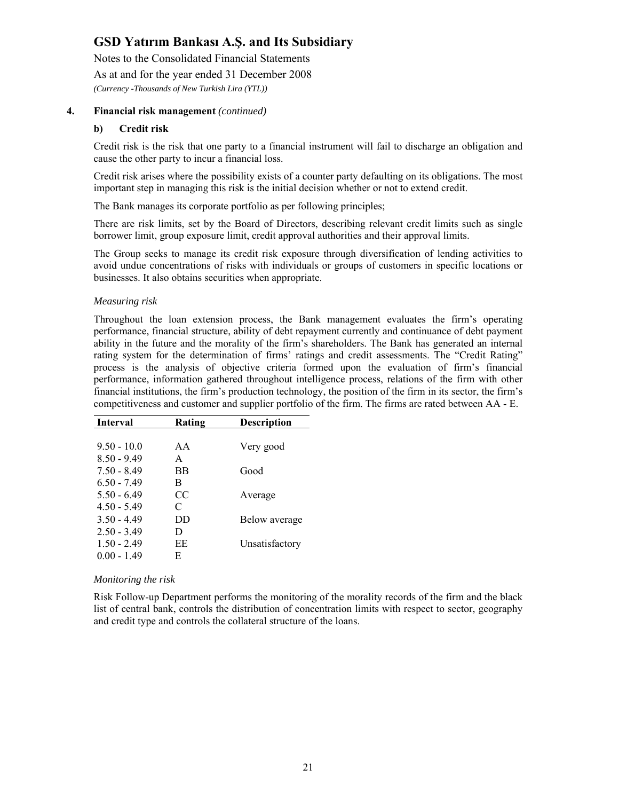Notes to the Consolidated Financial Statements

As at and for the year ended 31 December 2008

*(Currency -Thousands of New Turkish Lira (YTL))* 

#### **4. Financial risk management** *(continued)*

#### **b) Credit risk**

Credit risk is the risk that one party to a financial instrument will fail to discharge an obligation and cause the other party to incur a financial loss.

Credit risk arises where the possibility exists of a counter party defaulting on its obligations. The most important step in managing this risk is the initial decision whether or not to extend credit.

The Bank manages its corporate portfolio as per following principles;

There are risk limits, set by the Board of Directors, describing relevant credit limits such as single borrower limit, group exposure limit, credit approval authorities and their approval limits.

The Group seeks to manage its credit risk exposure through diversification of lending activities to avoid undue concentrations of risks with individuals or groups of customers in specific locations or businesses. It also obtains securities when appropriate.

#### *Measuring risk*

Throughout the loan extension process, the Bank management evaluates the firm's operating performance, financial structure, ability of debt repayment currently and continuance of debt payment ability in the future and the morality of the firm's shareholders. The Bank has generated an internal rating system for the determination of firms' ratings and credit assessments. The "Credit Rating" process is the analysis of objective criteria formed upon the evaluation of firm's financial performance, information gathered throughout intelligence process, relations of the firm with other financial institutions, the firm's production technology, the position of the firm in its sector, the firm's competitiveness and customer and supplier portfolio of the firm. The firms are rated between AA - E.

| Interval      | Rating    | <b>Description</b> |
|---------------|-----------|--------------------|
|               |           |                    |
| $9.50 - 10.0$ | AA        | Very good          |
| $8.50 - 9.49$ | A         |                    |
| $7.50 - 8.49$ | <b>BB</b> | Good               |
| $6.50 - 7.49$ | B         |                    |
| $5.50 - 6.49$ | CC        | Average            |
| $4.50 - 5.49$ | C         |                    |
| $3.50 - 4.49$ | DD        | Below average      |
| $2.50 - 3.49$ | D         |                    |
| $1.50 - 2.49$ | EE        | Unsatisfactory     |
| $0.00 - 1.49$ | E         |                    |

#### *Monitoring the risk*

Risk Follow-up Department performs the monitoring of the morality records of the firm and the black list of central bank, controls the distribution of concentration limits with respect to sector, geography and credit type and controls the collateral structure of the loans.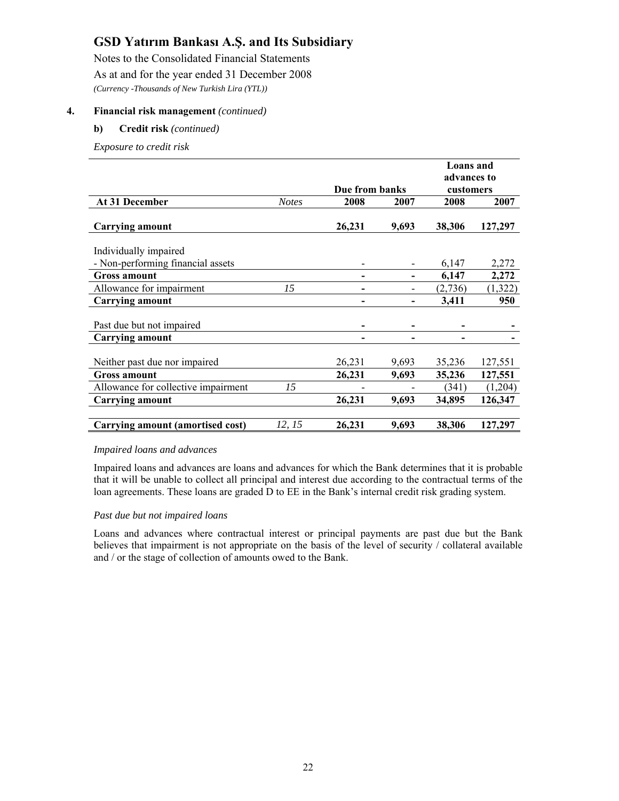Notes to the Consolidated Financial Statements As at and for the year ended 31 December 2008 *(Currency -Thousands of New Turkish Lira (YTL))* 

#### **4. Financial risk management** *(continued)*

#### **b) Credit risk** *(continued)*

*Exposure to credit risk* 

|                                         |              |                |       | Loans and   |         |
|-----------------------------------------|--------------|----------------|-------|-------------|---------|
|                                         |              |                |       | advances to |         |
|                                         |              | Due from banks |       | customers   |         |
| At 31 December                          | <b>Notes</b> | 2008           | 2007  | 2008        | 2007    |
| <b>Carrying amount</b>                  |              | 26,231         | 9,693 | 38,306      | 127,297 |
| Individually impaired                   |              |                |       |             |         |
| - Non-performing financial assets       |              |                |       | 6,147       | 2,272   |
| <b>Gross amount</b>                     |              | -              |       | 6,147       | 2,272   |
| Allowance for impairment                | 15           |                |       | (2,736)     | (1,322) |
| <b>Carrying amount</b>                  |              |                | -     | 3,411       | 950     |
| Past due but not impaired               |              |                |       |             |         |
| <b>Carrying amount</b>                  |              |                |       |             |         |
| Neither past due nor impaired           |              | 26,231         | 9,693 | 35,236      | 127,551 |
| <b>Gross amount</b>                     |              | 26,231         | 9,693 | 35,236      | 127,551 |
| Allowance for collective impairment     | 15           |                |       | (341)       | (1,204) |
| <b>Carrying amount</b>                  |              | 26,231         | 9,693 | 34,895      | 126,347 |
|                                         |              |                |       |             |         |
| <b>Carrying amount (amortised cost)</b> | 12, 15       | 26,231         | 9,693 | 38,306      | 127,297 |

#### *Impaired loans and advances*

Impaired loans and advances are loans and advances for which the Bank determines that it is probable that it will be unable to collect all principal and interest due according to the contractual terms of the loan agreements. These loans are graded D to EE in the Bank's internal credit risk grading system.

#### *Past due but not impaired loans*

Loans and advances where contractual interest or principal payments are past due but the Bank believes that impairment is not appropriate on the basis of the level of security / collateral available and / or the stage of collection of amounts owed to the Bank.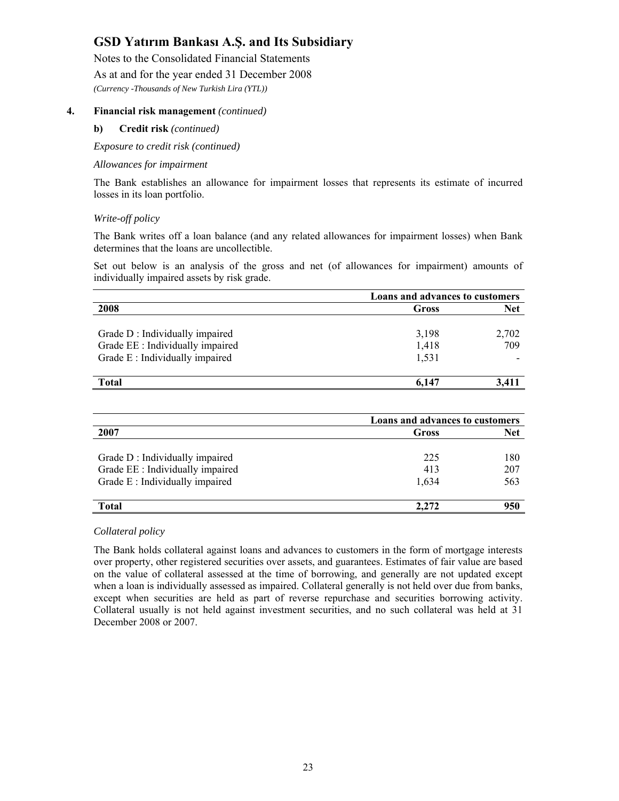Notes to the Consolidated Financial Statements

As at and for the year ended 31 December 2008

*(Currency -Thousands of New Turkish Lira (YTL))* 

#### **4. Financial risk management** *(continued)*

#### **b) Credit risk** *(continued)*

*Exposure to credit risk (continued)* 

#### *Allowances for impairment*

The Bank establishes an allowance for impairment losses that represents its estimate of incurred losses in its loan portfolio.

#### *Write-off policy*

The Bank writes off a loan balance (and any related allowances for impairment losses) when Bank determines that the loans are uncollectible.

Set out below is an analysis of the gross and net (of allowances for impairment) amounts of individually impaired assets by risk grade.

|                                  |       | Loans and advances to customers |  |  |
|----------------------------------|-------|---------------------------------|--|--|
| 2008                             | Gross | <b>Net</b>                      |  |  |
|                                  |       |                                 |  |  |
| Grade D: Individually impaired   | 3,198 | 2,702                           |  |  |
| Grade EE : Individually impaired | 1,418 | 709                             |  |  |
| Grade E: Individually impaired   | 1,531 |                                 |  |  |
|                                  |       |                                 |  |  |
| <b>Total</b>                     | 6.147 | 3.411                           |  |  |

|                                  |       | Loans and advances to customers |  |  |
|----------------------------------|-------|---------------------------------|--|--|
| 2007                             | Gross | <b>Net</b>                      |  |  |
|                                  |       |                                 |  |  |
| Grade D: Individually impaired   | 225   | 180                             |  |  |
| Grade EE : Individually impaired | 413   | 207                             |  |  |
| Grade E: Individually impaired   | 1,634 | 563                             |  |  |
|                                  |       |                                 |  |  |
| <b>Total</b>                     | 2.272 | 950                             |  |  |

#### *Collateral policy*

The Bank holds collateral against loans and advances to customers in the form of mortgage interests over property, other registered securities over assets, and guarantees. Estimates of fair value are based on the value of collateral assessed at the time of borrowing, and generally are not updated except when a loan is individually assessed as impaired. Collateral generally is not held over due from banks, except when securities are held as part of reverse repurchase and securities borrowing activity. Collateral usually is not held against investment securities, and no such collateral was held at 31 December 2008 or 2007.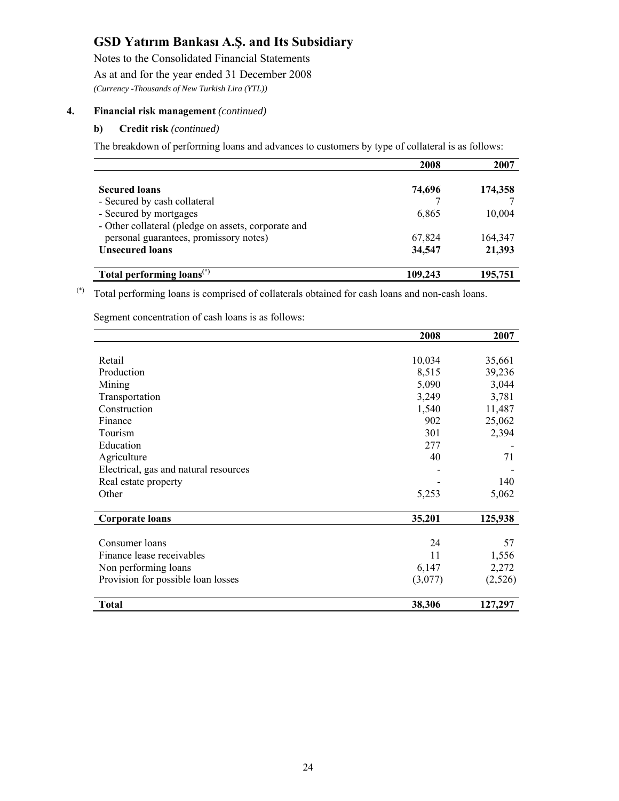Notes to the Consolidated Financial Statements As at and for the year ended 31 December 2008 *(Currency -Thousands of New Turkish Lira (YTL))* 

#### **4. Financial risk management** *(continued)*

#### **b) Credit risk** *(continued)*

The breakdown of performing loans and advances to customers by type of collateral is as follows:

|                                                     | 2008    | 2007    |
|-----------------------------------------------------|---------|---------|
|                                                     |         |         |
| <b>Secured loans</b>                                | 74,696  | 174,358 |
| - Secured by cash collateral                        |         |         |
| - Secured by mortgages                              | 6,865   | 10,004  |
| - Other collateral (pledge on assets, corporate and |         |         |
| personal guarantees, promissory notes)              | 67,824  | 164,347 |
| <b>Unsecured loans</b>                              | 34,547  | 21,393  |
| Total performing loans <sup>(*)</sup>               | 109,243 | 195,751 |

(\*) Total performing loans is comprised of collaterals obtained for cash loans and non-cash loans.

Segment concentration of cash loans is as follows:

|                                       | 2008    | 2007    |
|---------------------------------------|---------|---------|
|                                       |         |         |
| Retail                                | 10,034  | 35,661  |
| Production                            | 8,515   | 39,236  |
| Mining                                | 5,090   | 3,044   |
| Transportation                        | 3,249   | 3,781   |
| Construction                          | 1,540   | 11,487  |
| Finance                               | 902     | 25,062  |
| Tourism                               | 301     | 2,394   |
| Education                             | 277     |         |
| Agriculture                           | 40      | 71      |
| Electrical, gas and natural resources |         |         |
| Real estate property                  |         | 140     |
| Other                                 | 5,253   | 5,062   |
| <b>Corporate loans</b>                | 35,201  | 125,938 |
|                                       |         |         |
| Consumer loans                        | 24      | 57      |
| Finance lease receivables             | 11      | 1,556   |
| Non performing loans                  | 6,147   | 2,272   |
| Provision for possible loan losses    | (3,077) | (2,526) |
| Total                                 | 38,306  | 127,297 |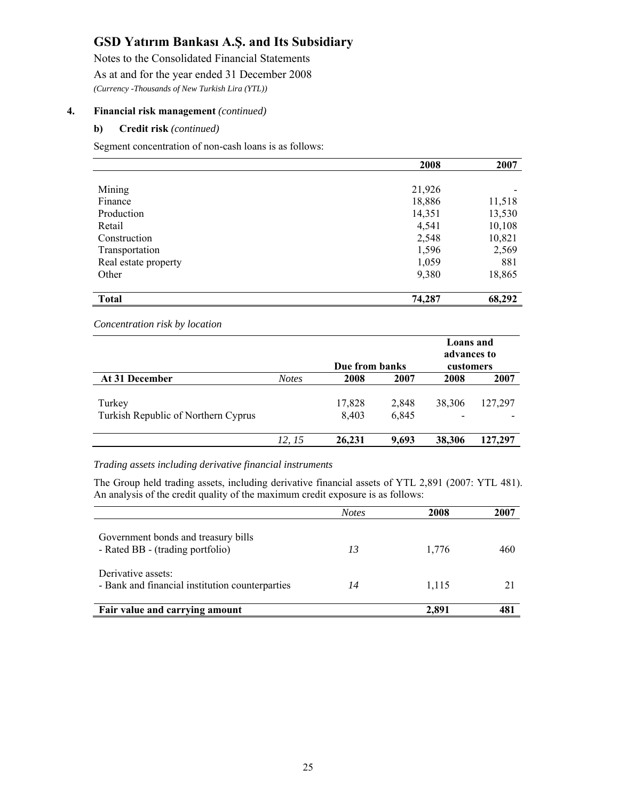Notes to the Consolidated Financial Statements As at and for the year ended 31 December 2008 *(Currency -Thousands of New Turkish Lira (YTL))* 

#### **4. Financial risk management** *(continued)*

#### **b) Credit risk** *(continued)*

Segment concentration of non-cash loans is as follows:

|                      | 2008   | 2007   |
|----------------------|--------|--------|
|                      |        |        |
| Mining               | 21,926 |        |
| Finance              | 18,886 | 11,518 |
| Production           | 14,351 | 13,530 |
| Retail               | 4,541  | 10,108 |
| Construction         | 2,548  | 10,821 |
| Transportation       | 1,596  | 2,569  |
| Real estate property | 1,059  | 881    |
| Other                | 9,380  | 18,865 |
|                      |        |        |
| <b>Total</b>         | 74,287 | 68,292 |

*Concentration risk by location*

|                                     |              | Due from banks |       | Loans and<br>advances to<br>customers |         |  |
|-------------------------------------|--------------|----------------|-------|---------------------------------------|---------|--|
| At 31 December                      | <b>Notes</b> | 2008           | 2007  | 2008                                  | 2007    |  |
| Turkey                              |              | 17,828         | 2,848 | 38,306                                | 127,297 |  |
| Turkish Republic of Northern Cyprus |              | 8,403          | 6,845 |                                       |         |  |
|                                     | 12, 15       | 26,231         | 9,693 | 38,306                                | 127,297 |  |

#### *Trading assets including derivative financial instruments*

The Group held trading assets, including derivative financial assets of YTL 2,891 (2007: YTL 481). An analysis of the credit quality of the maximum credit exposure is as follows:

|                                                                         | <i>Notes</i> | 2008  | 2007 |
|-------------------------------------------------------------------------|--------------|-------|------|
| Government bonds and treasury bills<br>- Rated BB - (trading portfolio) | 13           | 1,776 | 460  |
| Derivative assets:<br>- Bank and financial institution counterparties   | 14           | 1,115 |      |
| Fair value and carrying amount                                          |              | 2.891 | 481  |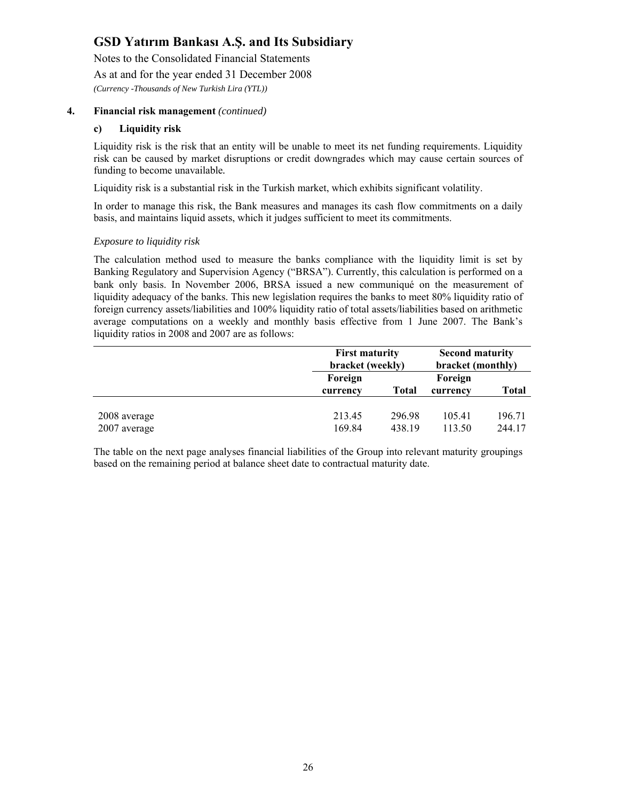Notes to the Consolidated Financial Statements

As at and for the year ended 31 December 2008

*(Currency -Thousands of New Turkish Lira (YTL))* 

#### **4. Financial risk management** *(continued)*

#### **c) Liquidity risk**

Liquidity risk is the risk that an entity will be unable to meet its net funding requirements. Liquidity risk can be caused by market disruptions or credit downgrades which may cause certain sources of funding to become unavailable*.* 

Liquidity risk is a substantial risk in the Turkish market, which exhibits significant volatility.

In order to manage this risk, the Bank measures and manages its cash flow commitments on a daily basis, and maintains liquid assets, which it judges sufficient to meet its commitments.

#### *Exposure to liquidity risk*

The calculation method used to measure the banks compliance with the liquidity limit is set by Banking Regulatory and Supervision Agency ("BRSA"). Currently, this calculation is performed on a bank only basis. In November 2006, BRSA issued a new communiqué on the measurement of liquidity adequacy of the banks. This new legislation requires the banks to meet 80% liquidity ratio of foreign currency assets/liabilities and 100% liquidity ratio of total assets/liabilities based on arithmetic average computations on a weekly and monthly basis effective from 1 June 2007. The Bank's liquidity ratios in 2008 and 2007 are as follows:

|                              |                     | <b>First maturity</b><br>bracket (weekly) |                     |                  |
|------------------------------|---------------------|-------------------------------------------|---------------------|------------------|
|                              | Foreign<br>currency | <b>Total</b>                              | Foreign<br>currency | <b>Total</b>     |
| 2008 average<br>2007 average | 213.45<br>169.84    | 296.98<br>438.19                          | 105.41<br>113.50    | 196.71<br>244.17 |

The table on the next page analyses financial liabilities of the Group into relevant maturity groupings based on the remaining period at balance sheet date to contractual maturity date.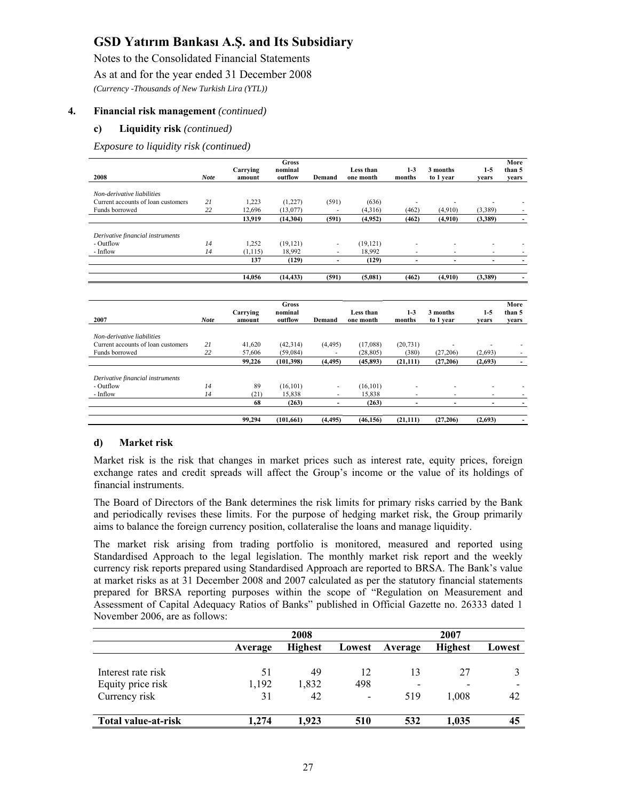Notes to the Consolidated Financial Statements

As at and for the year ended 31 December 2008

*(Currency -Thousands of New Turkish Lira (YTL))* 

#### **4. Financial risk management** *(continued)*

#### **c) Liquidity risk** *(continued)*

*Exposure to liquidity risk (continued)* 

|                                    |             |          | <b>Gross</b> |                          |           |           |           |         | More   |
|------------------------------------|-------------|----------|--------------|--------------------------|-----------|-----------|-----------|---------|--------|
|                                    |             | Carrying | nominal      |                          | Less than | $1-3$     | 3 months  | $1 - 5$ | than 5 |
| 2008                               | <b>Note</b> | amount   | outflow      | Demand                   | one month | months    | to 1 year | vears   | vears  |
| Non-derivative liabilities         |             |          |              |                          |           |           |           |         |        |
| Current accounts of loan customers | 21          | 1,223    | (1,227)      | (591)                    | (636)     |           |           |         |        |
| Funds borrowed                     | 22          | 12,696   | (13,077)     |                          | (4,316)   | (462)     | (4,910)   | (3,389) |        |
|                                    |             | 13,919   | (14, 304)    | (591)                    | (4.952)   | (462)     | (4,910)   | (3,389) |        |
|                                    |             |          |              |                          |           |           |           |         |        |
| Derivative financial instruments   |             |          |              |                          |           |           |           |         |        |
| - Outflow                          | 14          | 1,252    | (19, 121)    | ٠                        | (19, 121) |           |           |         |        |
| - Inflow                           | 14          | (1, 115) | 18,992       | $\sim$                   | 18,992    |           |           |         |        |
|                                    |             | 137      | (129)        | $\overline{\phantom{a}}$ | (129)     | ٠         | ٠         |         |        |
|                                    |             |          |              |                          |           |           |           |         |        |
|                                    |             | 14,056   | (14, 433)    | (591)                    | (5,081)   | (462)     | (4,910)   | (3,389) |        |
|                                    |             |          |              |                          |           |           |           |         |        |
|                                    |             |          | <b>Gross</b> |                          |           |           |           |         | More   |
|                                    |             | Carrying | nominal      |                          | Less than | $1-3$     | 3 months  | $1-5$   | than 5 |
| 2007                               | <b>Note</b> | amount   | outflow      | Demand                   | one month | months    | to 1 year | vears   | years  |
|                                    |             |          |              |                          |           |           |           |         |        |
| Non-derivative liabilities         |             |          |              |                          |           |           |           |         |        |
| Current accounts of loan customers | 21          | 41,620   | (42, 314)    | (4, 495)                 | (17,088)  | (20, 731) |           |         |        |
| Funds borrowed                     | 22          | 57,606   | (59,084)     |                          | (28, 805) | (380)     | (27,206)  | (2,693) |        |
|                                    |             | 99,226   | (101, 398)   | (4, 495)                 | (45, 893) | (21, 111) | (27,206)  | (2,693) | $\sim$ |
|                                    |             |          |              |                          |           |           |           |         |        |
| Derivative financial instruments   |             |          |              |                          |           |           |           |         |        |
| - Outflow                          | 14          | 89       | (16, 101)    | $\overline{\phantom{a}}$ | (16, 101) |           |           |         |        |
| - Inflow                           | 14          | (21)     | 15,838       | $\overline{\phantom{a}}$ | 15,838    | ٠         | ٠         | ٠       |        |
|                                    |             | 68       | (263)        | $\blacksquare$           | (263)     | ۰         | ٠         | ٠       |        |
|                                    |             |          |              |                          |           |           |           |         |        |
|                                    |             | 99,294   | (101, 661)   | (4, 495)                 | (46, 156) | (21, 111) | (27, 206) | (2,693) |        |

#### **d) Market risk**

Market risk is the risk that changes in market prices such as interest rate, equity prices, foreign exchange rates and credit spreads will affect the Group's income or the value of its holdings of financial instruments.

The Board of Directors of the Bank determines the risk limits for primary risks carried by the Bank and periodically revises these limits. For the purpose of hedging market risk, the Group primarily aims to balance the foreign currency position, collateralise the loans and manage liquidity.

The market risk arising from trading portfolio is monitored, measured and reported using Standardised Approach to the legal legislation. The monthly market risk report and the weekly currency risk reports prepared using Standardised Approach are reported to BRSA. The Bank's value at market risks as at 31 December 2008 and 2007 calculated as per the statutory financial statements prepared for BRSA reporting purposes within the scope of "Regulation on Measurement and Assessment of Capital Adequacy Ratios of Banks" published in Official Gazette no. 26333 dated 1 November 2006, are as follows:

|                     | 2008    |                |                          | 2007                     |                |        |
|---------------------|---------|----------------|--------------------------|--------------------------|----------------|--------|
|                     | Average | <b>Highest</b> | Lowest                   | Average                  | <b>Highest</b> | Lowest |
|                     |         |                |                          |                          |                |        |
| Interest rate risk  | 51      | 49             | 12                       | 13                       | 27             |        |
| Equity price risk   | 1,192   | 1,832          | 498                      | $\overline{\phantom{a}}$ |                |        |
| Currency risk       | 31      | 42             | $\overline{\phantom{0}}$ | 519                      | 1.008          | 42     |
|                     |         |                |                          |                          |                |        |
| Total value-at-risk | 1.274   | 1.923          | 510                      | 532                      | 1.035          | 45     |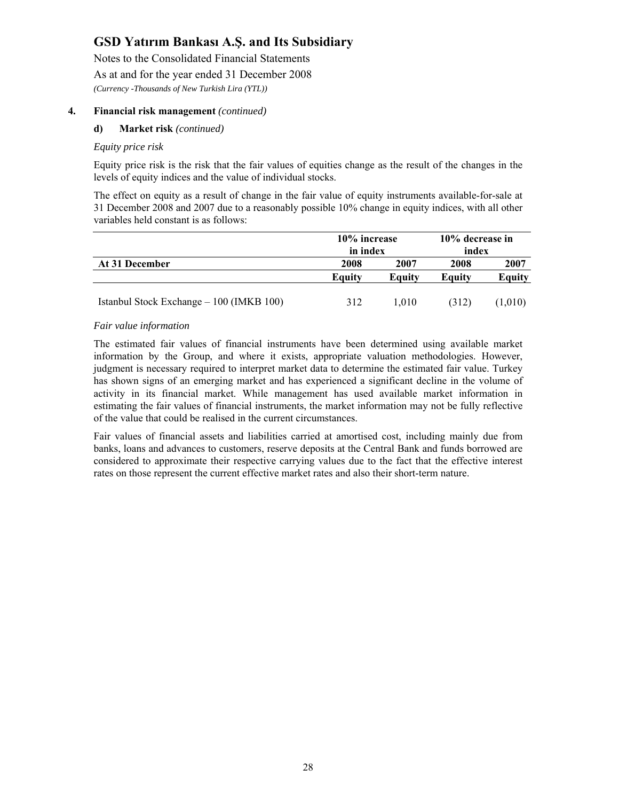Notes to the Consolidated Financial Statements

As at and for the year ended 31 December 2008

*(Currency -Thousands of New Turkish Lira (YTL))* 

#### **4. Financial risk management** *(continued)*

#### **d) Market risk** *(continued)*

#### *Equity price risk*

Equity price risk is the risk that the fair values of equities change as the result of the changes in the levels of equity indices and the value of individual stocks.

The effect on equity as a result of change in the fair value of equity instruments available-for-sale at 31 December 2008 and 2007 due to a reasonably possible 10% change in equity indices, with all other variables held constant is as follows:

|                                          | 10% increase  |        | 10% decrease in |               |  |
|------------------------------------------|---------------|--------|-----------------|---------------|--|
|                                          | in index      |        | index           |               |  |
| At 31 December                           | 2008          | 2007   | 2008            | 2007          |  |
|                                          | <b>Equity</b> | Equity | Equity          | <b>Equity</b> |  |
| Istanbul Stock Exchange – 100 (IMKB 100) | 312           | 1.010  | (312)           | (1.010)       |  |

#### *Fair value information*

The estimated fair values of financial instruments have been determined using available market information by the Group, and where it exists, appropriate valuation methodologies. However, judgment is necessary required to interpret market data to determine the estimated fair value. Turkey has shown signs of an emerging market and has experienced a significant decline in the volume of activity in its financial market. While management has used available market information in estimating the fair values of financial instruments, the market information may not be fully reflective of the value that could be realised in the current circumstances.

Fair values of financial assets and liabilities carried at amortised cost, including mainly due from banks, loans and advances to customers, reserve deposits at the Central Bank and funds borrowed are considered to approximate their respective carrying values due to the fact that the effective interest rates on those represent the current effective market rates and also their short-term nature.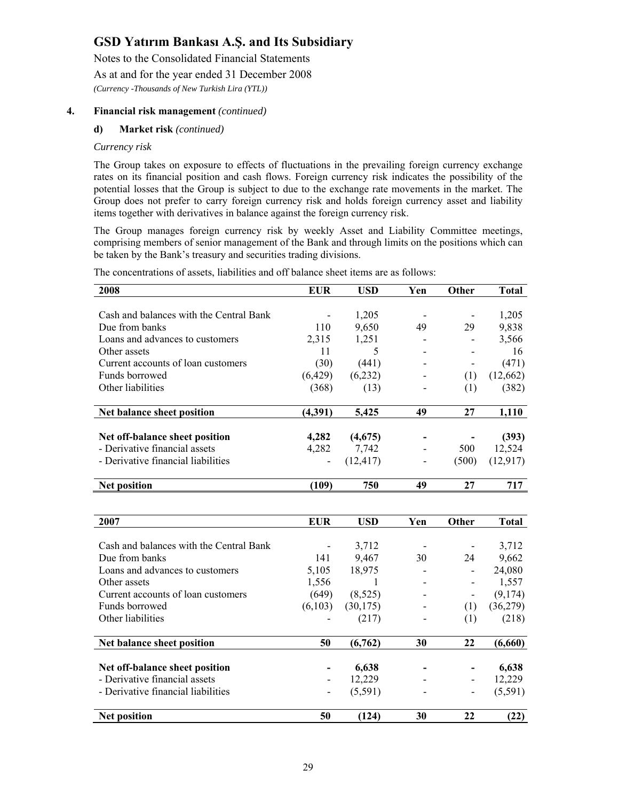Notes to the Consolidated Financial Statements

As at and for the year ended 31 December 2008

*(Currency -Thousands of New Turkish Lira (YTL))* 

#### **4. Financial risk management** *(continued)*

#### **d) Market risk** *(continued)*

#### *Currency risk*

The Group takes on exposure to effects of fluctuations in the prevailing foreign currency exchange rates on its financial position and cash flows. Foreign currency risk indicates the possibility of the potential losses that the Group is subject to due to the exchange rate movements in the market. The Group does not prefer to carry foreign currency risk and holds foreign currency asset and liability items together with derivatives in balance against the foreign currency risk.

The Group manages foreign currency risk by weekly Asset and Liability Committee meetings, comprising members of senior management of the Bank and through limits on the positions which can be taken by the Bank's treasury and securities trading divisions.

The concentrations of assets, liabilities and off balance sheet items are as follows:

| 2008                                    | <b>EUR</b>               | <b>USD</b> | Yen | Other                    | <b>Total</b> |
|-----------------------------------------|--------------------------|------------|-----|--------------------------|--------------|
|                                         |                          |            |     |                          |              |
| Cash and balances with the Central Bank | $\overline{\phantom{a}}$ | 1,205      |     | $\overline{\phantom{a}}$ | 1,205        |
| Due from banks                          | 110                      | 9,650      | 49  | 29                       | 9,838        |
| Loans and advances to customers         | 2,315                    | 1,251      |     |                          | 3,566        |
| Other assets                            | 11                       | 5          |     |                          | 16           |
| Current accounts of loan customers      | (30)                     | (441)      |     | $\overline{\phantom{a}}$ | (471)        |
| Funds borrowed                          | (6,429)                  | (6,232)    |     | (1)                      | (12,662)     |
| Other liabilities                       | (368)                    | (13)       |     | (1)                      | (382)        |
| Net balance sheet position              | (4,391)                  | 5,425      | 49  | 27                       | 1,110        |
| Net off-balance sheet position          | 4,282                    | (4,675)    |     |                          | (393)        |
| - Derivative financial assets           | 4,282                    | 7,742      |     | 500                      | 12,524       |
| - Derivative financial liabilities      |                          | (12, 417)  |     | (500)                    | (12, 917)    |
|                                         |                          |            |     |                          |              |
| <b>Net position</b>                     | (109)                    | 750        | 49  | 27                       | 717          |
|                                         |                          |            |     |                          |              |
| 2007                                    | <b>EUR</b>               | <b>USD</b> | Yen | Other                    | <b>Total</b> |
|                                         |                          |            |     |                          |              |
| Cash and balances with the Central Bank |                          | 3,712      |     |                          | 3,712        |
| Due from banks                          | 141                      | 9,467      | 30  | 24                       | 9,662        |
| Loans and advances to customers         | 5,105                    | 18,975     |     | $\overline{\phantom{a}}$ | 24,080       |
| Other assets                            | 1,556                    | 1          |     | $\overline{\phantom{m}}$ | 1,557        |
| Current accounts of loan customers      | (649)                    | (8,525)    |     | $\overline{\phantom{a}}$ | (9,174)      |
| Funds borrowed                          | (6,103)                  | (30, 175)  |     | (1)                      | (36,279)     |
| Other liabilities                       |                          | (217)      |     | (1)                      | (218)        |
| Net balance sheet position              | 50                       | (6,762)    | 30  | 22                       | (6,660)      |
|                                         |                          |            |     |                          |              |
| Net off-balance sheet position          |                          | 6,638      |     |                          | 6,638        |
| - Derivative financial assets           | $\overline{\phantom{a}}$ | 12,229     |     | $\frac{1}{2}$            | 12,229       |
| - Derivative financial liabilities      |                          | (5,591)    |     | $\overline{a}$           | (5,591)      |
| <b>Net position</b>                     | 50                       | (124)      | 30  | 22                       | (22)         |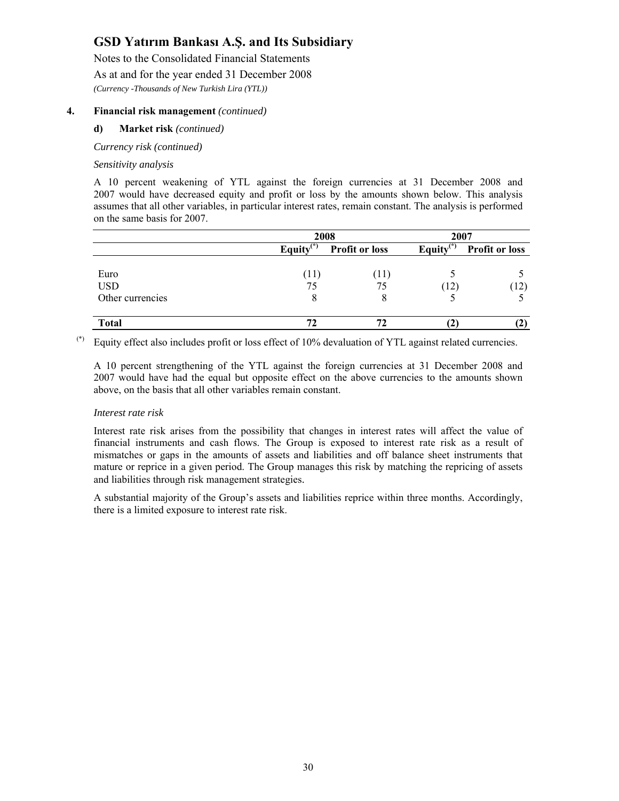Notes to the Consolidated Financial Statements

As at and for the year ended 31 December 2008

*(Currency -Thousands of New Turkish Lira (YTL))* 

#### **4. Financial risk management** *(continued)*

#### **d) Market risk** *(continued)*

*Currency risk (continued)* 

#### *Sensitivity analysis*

A 10 percent weakening of YTL against the foreign currencies at 31 December 2008 and 2007 would have decreased equity and profit or loss by the amounts shown below. This analysis assumes that all other variables, in particular interest rates, remain constant. The analysis is performed on the same basis for 2007.

|                  |              | 2008                  | 2007         |                       |  |
|------------------|--------------|-----------------------|--------------|-----------------------|--|
|                  | Equity $(*)$ | <b>Profit or loss</b> | Equity $(*)$ | <b>Profit or loss</b> |  |
| Euro             |              | (11)                  |              |                       |  |
| <b>USD</b>       | 75           | 75                    | (12)         | 12)                   |  |
| Other currencies | δ            |                       |              |                       |  |
| <b>Total</b>     |              | 72                    |              |                       |  |

(\*) Equity effect also includes profit or loss effect of 10% devaluation of YTL against related currencies.

A 10 percent strengthening of the YTL against the foreign currencies at 31 December 2008 and 2007 would have had the equal but opposite effect on the above currencies to the amounts shown above, on the basis that all other variables remain constant.

#### *Interest rate risk*

Interest rate risk arises from the possibility that changes in interest rates will affect the value of financial instruments and cash flows. The Group is exposed to interest rate risk as a result of mismatches or gaps in the amounts of assets and liabilities and off balance sheet instruments that mature or reprice in a given period. The Group manages this risk by matching the repricing of assets and liabilities through risk management strategies.

A substantial majority of the Group's assets and liabilities reprice within three months. Accordingly, there is a limited exposure to interest rate risk.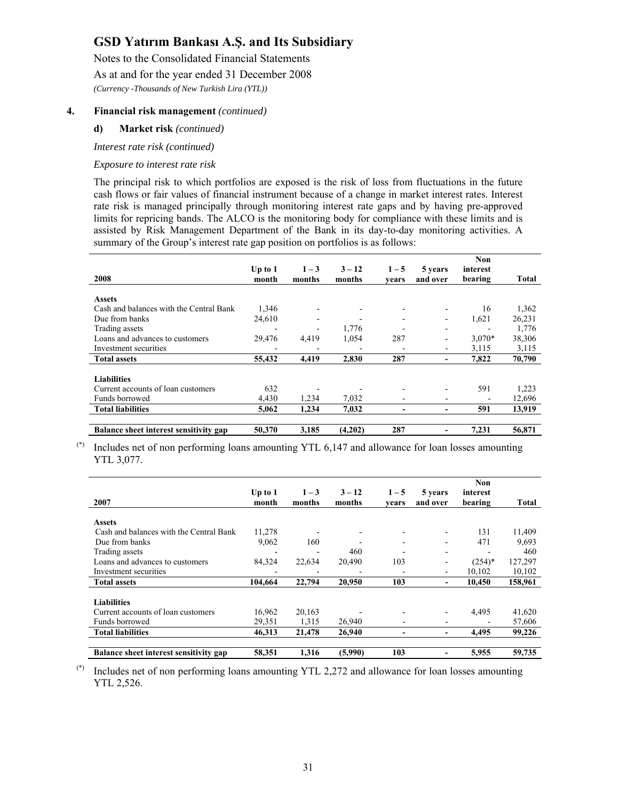Notes to the Consolidated Financial Statements

As at and for the year ended 31 December 2008

*(Currency -Thousands of New Turkish Lira (YTL))* 

#### **4. Financial risk management** *(continued)*

#### **d) Market risk** *(continued)*

*Interest rate risk (continued)* 

#### *Exposure to interest rate risk*

The principal risk to which portfolios are exposed is the risk of loss from fluctuations in the future cash flows or fair values of financial instrument because of a change in market interest rates. Interest rate risk is managed principally through monitoring interest rate gaps and by having pre-approved limits for repricing bands. The ALCO is the monitoring body for compliance with these limits and is assisted by Risk Management Department of the Bank in its day-to-day monitoring activities. A summary of the Group's interest rate gap position on portfolios is as follows:

| 2008                                    | Up to $1$                | $1 - 3$ | $3 - 12$ | $1 - 5$ | 5 years                  | Non<br>interest<br>bearing | Total  |
|-----------------------------------------|--------------------------|---------|----------|---------|--------------------------|----------------------------|--------|
|                                         | month                    | months  | months   | vears   | and over                 |                            |        |
| <b>Assets</b>                           |                          |         |          |         |                          |                            |        |
| Cash and balances with the Central Bank | 1,346                    |         |          |         |                          | 16                         | 1,362  |
| Due from banks                          | 24,610                   |         |          |         | ۰                        | 1,621                      | 26,231 |
| Trading assets                          |                          |         | 1,776    |         |                          |                            | 1,776  |
| Loans and advances to customers         | 29,476                   | 4,419   | 1,054    | 287     | -                        | $3,070*$                   | 38,306 |
| Investment securities                   | $\overline{\phantom{0}}$ |         |          |         | ۰                        | 3,115                      | 3,115  |
| <b>Total assets</b>                     | 55,432                   | 4.419   | 2.830    | 287     | $\overline{\phantom{0}}$ | 7.822                      | 70,790 |
| <b>Liabilities</b>                      |                          |         |          |         |                          |                            |        |
| Current accounts of loan customers      | 632                      |         |          |         |                          | 591                        | 1,223  |
| Funds borrowed                          | 4,430                    | 1,234   | 7,032    |         |                          |                            | 12,696 |
| <b>Total liabilities</b>                | 5.062                    | 1,234   | 7,032    |         |                          | 591                        | 13,919 |
| Balance sheet interest sensitivity gap  | 50,370                   | 3,185   | (4,202)  | 287     |                          | 7,231                      | 56,871 |

 $(*)$  Includes net of non performing loans amounting YTL 6,147 and allowance for loan losses amounting YTL 3,077.

| 2007                                    | Up to $1$<br>month | $1 - 3$<br>months | $3 - 12$<br>months | $1 - 5$<br>vears         | 5 years<br>and over          | <b>Non</b><br>interest<br>bearing | Total   |
|-----------------------------------------|--------------------|-------------------|--------------------|--------------------------|------------------------------|-----------------------------------|---------|
| <b>Assets</b>                           |                    |                   |                    |                          |                              |                                   |         |
| Cash and balances with the Central Bank | 11,278             |                   |                    |                          |                              | 131                               | 11,409  |
| Due from banks                          | 9,062              | 160               |                    |                          | ۰                            | 471                               | 9,693   |
| Trading assets                          |                    |                   | 460                |                          | $\overline{\phantom{a}}$     |                                   | 460     |
| Loans and advances to customers         | 84,324             | 22,634            | 20,490             | 103                      | Ξ.                           | $(254)*$                          | 127,297 |
| Investment securities                   |                    |                   |                    |                          | ۰                            | 10,102                            | 10,102  |
| <b>Total assets</b>                     | 104.664            | 22,794            | 20,950             | 103                      | $\qquad \qquad \blacksquare$ | 10.450                            | 158,961 |
| <b>Liabilities</b>                      |                    |                   |                    |                          |                              |                                   |         |
| Current accounts of loan customers      | 16,962             | 20,163            |                    |                          | ۰                            | 4,495                             | 41,620  |
| Funds borrowed                          | 29,351             | 1,315             | 26,940             | $\overline{\phantom{a}}$ | -                            |                                   | 57,606  |
| <b>Total liabilities</b>                | 46,313             | 21,478            | 26,940             | $\overline{\phantom{0}}$ | $\qquad \qquad \blacksquare$ | 4,495                             | 99,226  |
|                                         |                    |                   |                    |                          |                              |                                   |         |
| Balance sheet interest sensitivity gap  | 58,351             | 1,316             | (5,990)            | 103                      |                              | 5,955                             | 59,735  |

(\*) Includes net of non performing loans amounting YTL 2,272 and allowance for loan losses amounting YTL 2,526.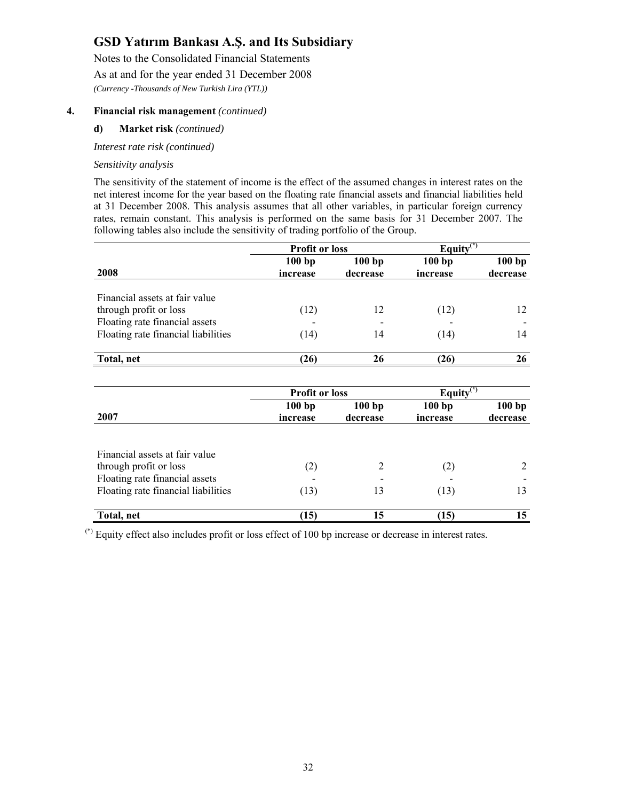Notes to the Consolidated Financial Statements

As at and for the year ended 31 December 2008

*(Currency -Thousands of New Turkish Lira (YTL))* 

#### **4. Financial risk management** *(continued)*

#### **d) Market risk** *(continued)*

*Interest rate risk (continued)* 

#### *Sensitivity analysis*

The sensitivity of the statement of income is the effect of the assumed changes in interest rates on the net interest income for the year based on the floating rate financial assets and financial liabilities held at 31 December 2008. This analysis assumes that all other variables, in particular foreign currency rates, remain constant. This analysis is performed on the same basis for 31 December 2007. The following tables also include the sensitivity of trading portfolio of the Group.

|                                     |                       | Equity $\overline{(*)}$<br><b>Profit or loss</b> |                         |          |
|-------------------------------------|-----------------------|--------------------------------------------------|-------------------------|----------|
|                                     | 100bp                 | 100bp                                            | 100bp                   | 100bp    |
| 2008                                | increase              | decrease                                         | increase                | decrease |
|                                     |                       |                                                  |                         |          |
| Financial assets at fair value      |                       |                                                  |                         |          |
| through profit or loss              | (12)                  | 12                                               | (12)                    | 12       |
| Floating rate financial assets      |                       |                                                  |                         |          |
| Floating rate financial liabilities | (14)                  | 14                                               | (14)                    | 14       |
|                                     |                       |                                                  |                         |          |
| Total, net                          | (26)                  | 26                                               | (26)                    | 26       |
|                                     |                       |                                                  |                         |          |
|                                     | <b>Profit or loss</b> |                                                  | Equity $\overline{(*)}$ |          |
|                                     | 100bp                 | 100bp                                            | 100bp                   | 100bp    |
| 2007                                | increase              | decrease                                         | increase                | decrease |
|                                     |                       |                                                  |                         |          |
| Financial assets at fair value      |                       |                                                  |                         |          |
| through profit or loss              | (2)                   | 2                                                | (2)                     | 2        |
| Floating rate financial assets      |                       |                                                  |                         |          |
| Floating rate financial liabilities | (13)                  | 13                                               | (13)                    | 13       |
| Total, net                          | (15)                  | 15                                               | (15)                    | 15       |
|                                     |                       |                                                  |                         |          |

(\*) Equity effect also includes profit or loss effect of 100 bp increase or decrease in interest rates.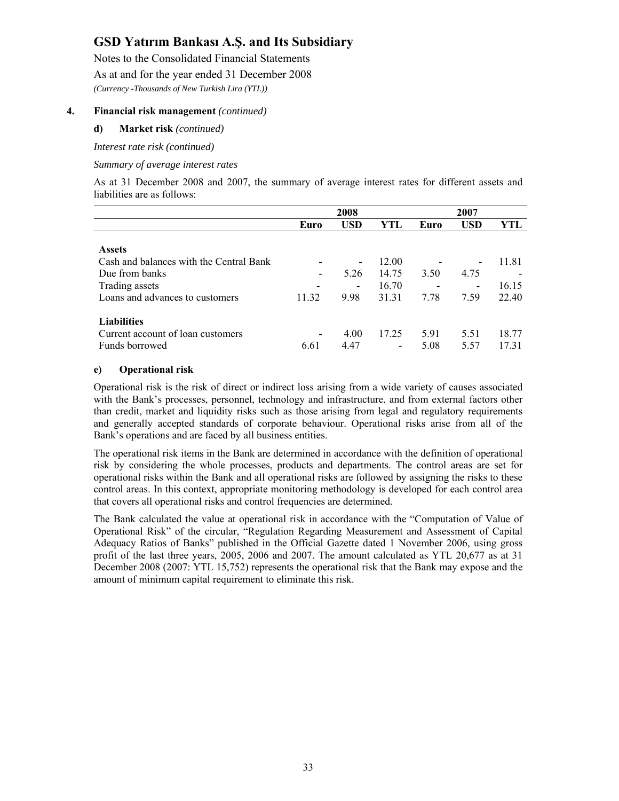Notes to the Consolidated Financial Statements

As at and for the year ended 31 December 2008

*(Currency -Thousands of New Turkish Lira (YTL))* 

#### **4. Financial risk management** *(continued)*

#### **d) Market risk** *(continued)*

*Interest rate risk (continued)* 

*Summary of average interest rates* 

As at 31 December 2008 and 2007, the summary of average interest rates for different assets and liabilities are as follows:

|                                         | 2008                     |                          |       | 2007 |                          |       |
|-----------------------------------------|--------------------------|--------------------------|-------|------|--------------------------|-------|
|                                         | Euro                     | <b>USD</b>               | YTL   | Euro | USD                      | YTL   |
|                                         |                          |                          |       |      |                          |       |
| <b>Assets</b>                           |                          |                          |       |      |                          |       |
| Cash and balances with the Central Bank |                          | -                        | 12.00 |      |                          | 11.81 |
| Due from banks                          | $\overline{\phantom{a}}$ | 5.26                     | 14.75 | 3.50 | 4.75                     |       |
| Trading assets                          |                          | $\overline{\phantom{a}}$ | 16.70 |      | $\overline{\phantom{a}}$ | 16.15 |
| Loans and advances to customers         | 11.32                    | 9.98                     | 31.31 | 7.78 | 7.59                     | 22.40 |
|                                         |                          |                          |       |      |                          |       |
| <b>Liabilities</b>                      |                          |                          |       |      |                          |       |
| Current account of loan customers       |                          | 4.00                     | 17.25 | 5.91 | 5.51                     | 18.77 |
| Funds borrowed                          | 6.61                     | 4.47                     | -     | 5.08 | 5.57                     | 17.31 |

#### **e) Operational risk**

Operational risk is the risk of direct or indirect loss arising from a wide variety of causes associated with the Bank's processes, personnel, technology and infrastructure, and from external factors other than credit, market and liquidity risks such as those arising from legal and regulatory requirements and generally accepted standards of corporate behaviour. Operational risks arise from all of the Bank's operations and are faced by all business entities.

The operational risk items in the Bank are determined in accordance with the definition of operational risk by considering the whole processes, products and departments. The control areas are set for operational risks within the Bank and all operational risks are followed by assigning the risks to these control areas. In this context, appropriate monitoring methodology is developed for each control area that covers all operational risks and control frequencies are determined.

The Bank calculated the value at operational risk in accordance with the "Computation of Value of Operational Risk" of the circular, "Regulation Regarding Measurement and Assessment of Capital Adequacy Ratios of Banks" published in the Official Gazette dated 1 November 2006, using gross profit of the last three years, 2005, 2006 and 2007. The amount calculated as YTL 20,677 as at 31 December 2008 (2007: YTL 15,752) represents the operational risk that the Bank may expose and the amount of minimum capital requirement to eliminate this risk.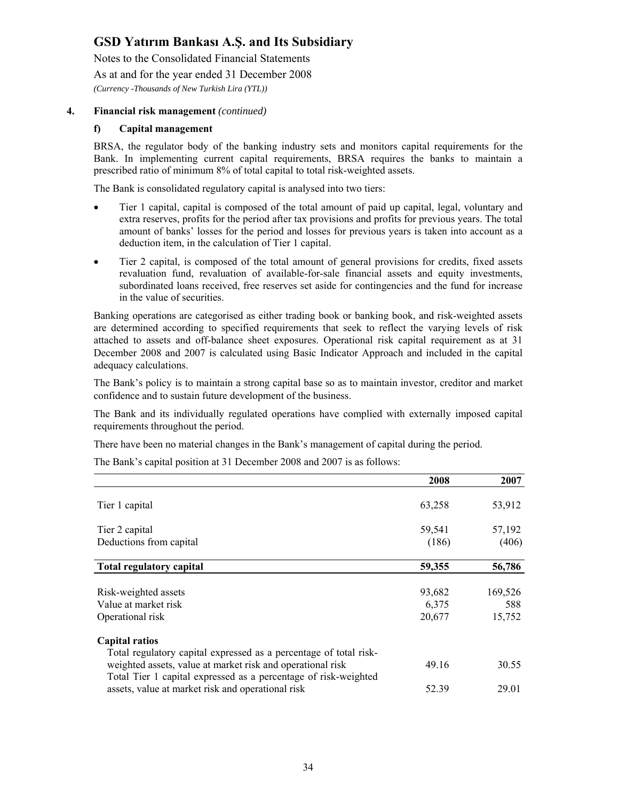Notes to the Consolidated Financial Statements

As at and for the year ended 31 December 2008

*(Currency -Thousands of New Turkish Lira (YTL))* 

#### **4. Financial risk management** *(continued)*

#### **f) Capital management**

BRSA, the regulator body of the banking industry sets and monitors capital requirements for the Bank. In implementing current capital requirements, BRSA requires the banks to maintain a prescribed ratio of minimum 8% of total capital to total risk-weighted assets.

The Bank is consolidated regulatory capital is analysed into two tiers:

- Tier 1 capital, capital is composed of the total amount of paid up capital, legal, voluntary and extra reserves, profits for the period after tax provisions and profits for previous years. The total amount of banks' losses for the period and losses for previous years is taken into account as a deduction item, in the calculation of Tier 1 capital.
- Tier 2 capital, is composed of the total amount of general provisions for credits, fixed assets revaluation fund, revaluation of available-for-sale financial assets and equity investments, subordinated loans received, free reserves set aside for contingencies and the fund for increase in the value of securities.

Banking operations are categorised as either trading book or banking book, and risk-weighted assets are determined according to specified requirements that seek to reflect the varying levels of risk attached to assets and off-balance sheet exposures. Operational risk capital requirement as at 31 December 2008 and 2007 is calculated using Basic Indicator Approach and included in the capital adequacy calculations.

The Bank's policy is to maintain a strong capital base so as to maintain investor, creditor and market confidence and to sustain future development of the business.

The Bank and its individually regulated operations have complied with externally imposed capital requirements throughout the period.

There have been no material changes in the Bank's management of capital during the period.

The Bank's capital position at 31 December 2008 and 2007 is as follows:

|                                                                   | 2008   | 2007    |
|-------------------------------------------------------------------|--------|---------|
|                                                                   |        |         |
| Tier 1 capital                                                    | 63,258 | 53,912  |
|                                                                   |        |         |
| Tier 2 capital                                                    | 59,541 | 57,192  |
| Deductions from capital                                           | (186)  | (406)   |
| <b>Total regulatory capital</b>                                   | 59,355 | 56,786  |
|                                                                   |        |         |
| Risk-weighted assets                                              | 93,682 | 169,526 |
| Value at market risk                                              | 6,375  | 588     |
| Operational risk                                                  | 20,677 | 15,752  |
| <b>Capital ratios</b>                                             |        |         |
| Total regulatory capital expressed as a percentage of total risk- |        |         |
| weighted assets, value at market risk and operational risk        | 49.16  | 30.55   |
| Total Tier 1 capital expressed as a percentage of risk-weighted   |        |         |
| assets, value at market risk and operational risk                 | 52.39  | 29.01   |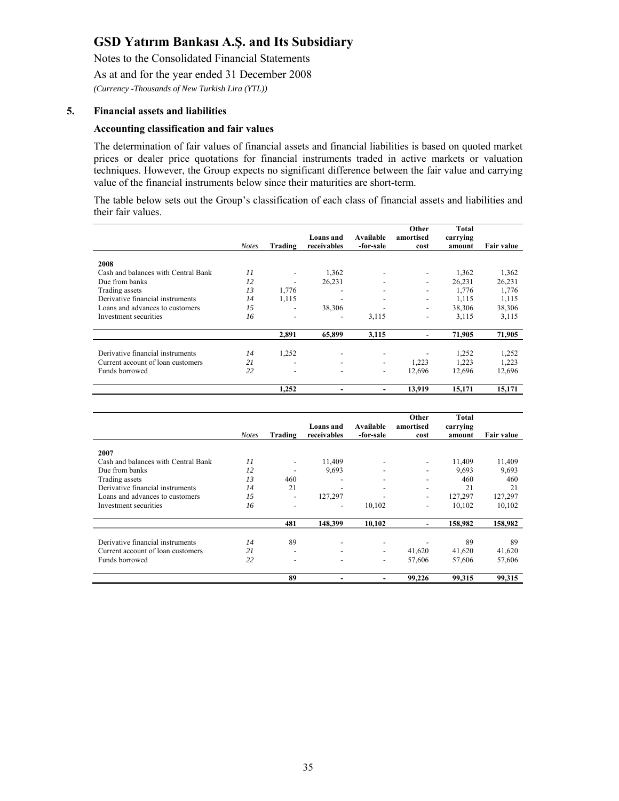Notes to the Consolidated Financial Statements

As at and for the year ended 31 December 2008

*(Currency -Thousands of New Turkish Lira (YTL))* 

#### **5. Financial assets and liabilities**

#### **Accounting classification and fair values**

The determination of fair values of financial assets and financial liabilities is based on quoted market prices or dealer price quotations for financial instruments traded in active markets or valuation techniques. However, the Group expects no significant difference between the fair value and carrying value of the financial instruments below since their maturities are short-term.

The table below sets out the Group's classification of each class of financial assets and liabilities and their fair values.

|                                     |              |                          |                          |                          | Other                    | <b>Total</b>       |                   |
|-------------------------------------|--------------|--------------------------|--------------------------|--------------------------|--------------------------|--------------------|-------------------|
|                                     | <b>Notes</b> | Trading                  | Loans and<br>receivables | Available<br>-for-sale   | amortised<br>cost        | carrying<br>amount | <b>Fair value</b> |
| 2008                                |              |                          |                          |                          |                          |                    |                   |
| Cash and balances with Central Bank | 11           |                          | 1,362                    |                          |                          | 1,362              | 1,362             |
| Due from banks                      | 12           |                          | 26,231                   |                          | -                        | 26,231             | 26,231            |
| Trading assets                      | 13           | 1,776                    |                          |                          | -                        | 1,776              | 1,776             |
| Derivative financial instruments    | 14           | 1,115                    |                          |                          | -                        | 1,115              | 1,115             |
| Loans and advances to customers     | 15           | $\overline{\phantom{0}}$ | 38,306                   |                          | -                        | 38,306             | 38,306            |
| Investment securities               | 16           | ٠                        | ٠                        | 3,115                    | $\overline{\phantom{a}}$ | 3,115              | 3,115             |
|                                     |              |                          |                          |                          |                          |                    |                   |
|                                     |              | 2,891                    | 65,899                   | 3,115                    |                          | 71,905             | 71,905            |
|                                     |              |                          |                          |                          |                          |                    |                   |
| Derivative financial instruments    | 14           | 1,252                    |                          |                          |                          | 1,252              | 1,252             |
| Current account of loan customers   | 21           | -                        | $\overline{\phantom{0}}$ |                          | 1,223                    | 1.223              | 1,223             |
| Funds borrowed                      | 22           | ٠                        | $\overline{\phantom{a}}$ | $\overline{\phantom{a}}$ | 12,696                   | 12,696             | 12,696            |
|                                     |              | 1,252                    |                          |                          | 13,919                   | 15,171             | 15,171            |

|                                     | <b>Notes</b> | Trading                  | Loans and<br>receivables | Available<br>-for-sale   | Other<br>amortised<br>cost | Total<br>carrying<br>amount | <b>Fair value</b> |
|-------------------------------------|--------------|--------------------------|--------------------------|--------------------------|----------------------------|-----------------------------|-------------------|
| 2007                                |              |                          |                          |                          |                            |                             |                   |
| Cash and balances with Central Bank | 11           | $\overline{\phantom{a}}$ | 11,409                   |                          |                            | 11,409                      | 11,409            |
| Due from banks                      | 12           |                          | 9,693                    |                          |                            | 9.693                       | 9,693             |
| Trading assets                      | 13           | 460                      | $\overline{\phantom{a}}$ |                          |                            | 460                         | 460               |
| Derivative financial instruments    | 14           | 21                       | $\overline{\phantom{a}}$ | $\overline{\phantom{a}}$ | $\overline{\phantom{0}}$   | 21                          | 21                |
| Loans and advances to customers     | 1.5          | ٠                        | 127,297                  |                          | -                          | 127,297                     | 127,297           |
| Investment securities               | 16           |                          |                          | 10,102                   | -                          | 10,102                      | 10,102            |
|                                     |              | 481                      | 148,399                  | 10,102                   | -                          | 158,982                     | 158,982           |
|                                     |              |                          |                          |                          |                            |                             |                   |
| Derivative financial instruments    | 14           | 89                       | $\overline{\phantom{0}}$ |                          |                            | 89                          | 89                |
| Current account of loan customers   | 21           | ٠                        | ٠                        |                          | 41,620                     | 41,620                      | 41,620            |
| Funds borrowed                      | 22           | ٠                        | $\overline{\phantom{a}}$ |                          | 57,606                     | 57,606                      | 57,606            |
|                                     |              | 89                       |                          | $\overline{\phantom{a}}$ | 99,226                     | 99,315                      | 99,315            |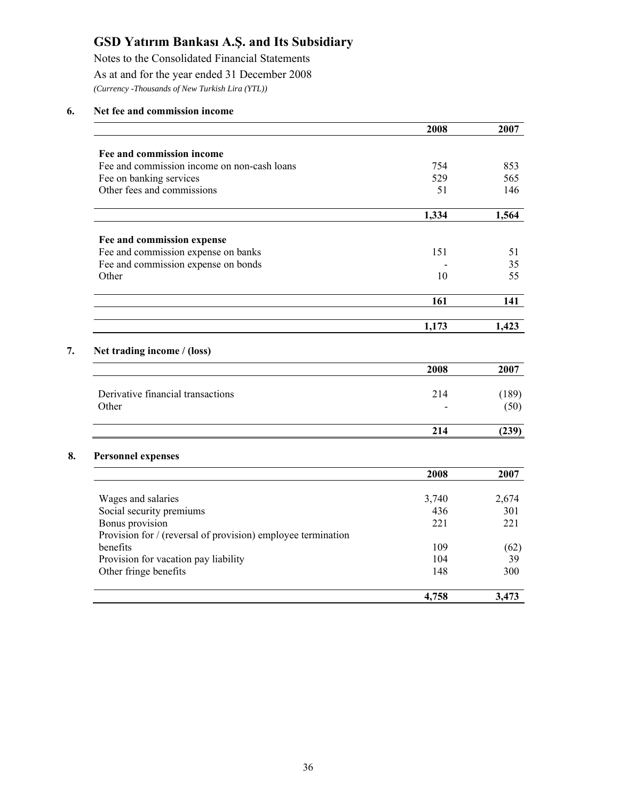Notes to the Consolidated Financial Statements As at and for the year ended 31 December 2008 *(Currency -Thousands of New Turkish Lira (YTL))* 

#### **6. Net fee and commission income**

|                                                              | 2008  | 2007  |
|--------------------------------------------------------------|-------|-------|
| Fee and commission income                                    |       |       |
| Fee and commission income on non-cash loans                  | 754   | 853   |
| Fee on banking services                                      | 529   | 565   |
| Other fees and commissions                                   | 51    | 146   |
|                                                              | 1,334 | 1,564 |
| Fee and commission expense                                   |       |       |
| Fee and commission expense on banks                          | 151   | 51    |
| Fee and commission expense on bonds                          |       | 35    |
| Other                                                        | 10    | 55    |
|                                                              | 161   | 141   |
|                                                              | 1,173 | 1,423 |
| Net trading income / (loss)                                  | 2008  | 2007  |
| Derivative financial transactions                            | 214   | (189) |
| Other                                                        |       | (50)  |
|                                                              | 214   | (239) |
| <b>Personnel expenses</b>                                    |       |       |
|                                                              | 2008  | 2007  |
| Wages and salaries                                           | 3,740 | 2,674 |
| Social security premiums                                     | 436   | 301   |
| Bonus provision                                              | 221   | 221   |
| Provision for / (reversal of provision) employee termination |       |       |
| benefits                                                     | 109   | (62)  |
| Provision for vacation pay liability                         | 104   | 39    |
| Other fringe benefits                                        | 148   | 300   |
|                                                              | 4,758 | 3,473 |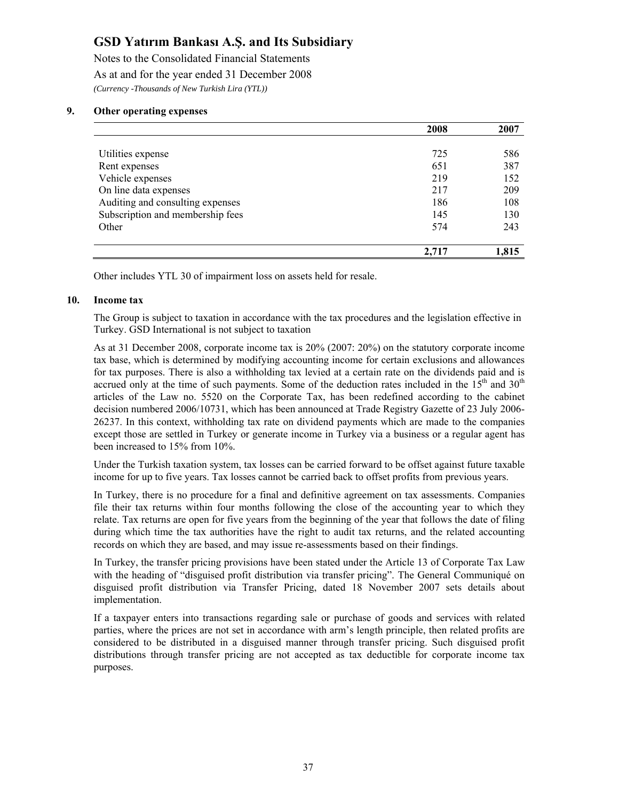Notes to the Consolidated Financial Statements As at and for the year ended 31 December 2008 *(Currency -Thousands of New Turkish Lira (YTL))* 

#### **9. Other operating expenses**

|                                  | 2008  | 2007  |
|----------------------------------|-------|-------|
|                                  |       |       |
| Utilities expense                | 725   | 586   |
| Rent expenses                    | 651   | 387   |
| Vehicle expenses                 | 219   | 152   |
| On line data expenses            | 217   | 209   |
| Auditing and consulting expenses | 186   | 108   |
| Subscription and membership fees | 145   | 130   |
| Other                            | 574   | 243   |
|                                  | 2.717 | 1.815 |

Other includes YTL 30 of impairment loss on assets held for resale.

#### **10. Income tax**

The Group is subject to taxation in accordance with the tax procedures and the legislation effective in Turkey. GSD International is not subject to taxation

As at 31 December 2008, corporate income tax is 20% (2007: 20%) on the statutory corporate income tax base, which is determined by modifying accounting income for certain exclusions and allowances for tax purposes. There is also a withholding tax levied at a certain rate on the dividends paid and is accrued only at the time of such payments. Some of the deduction rates included in the  $15<sup>th</sup>$  and  $30<sup>th</sup>$ articles of the Law no. 5520 on the Corporate Tax, has been redefined according to the cabinet decision numbered 2006/10731, which has been announced at Trade Registry Gazette of 23 July 2006- 26237. In this context, withholding tax rate on dividend payments which are made to the companies except those are settled in Turkey or generate income in Turkey via a business or a regular agent has been increased to 15% from 10%.

Under the Turkish taxation system, tax losses can be carried forward to be offset against future taxable income for up to five years. Tax losses cannot be carried back to offset profits from previous years.

In Turkey, there is no procedure for a final and definitive agreement on tax assessments. Companies file their tax returns within four months following the close of the accounting year to which they relate. Tax returns are open for five years from the beginning of the year that follows the date of filing during which time the tax authorities have the right to audit tax returns, and the related accounting records on which they are based, and may issue re-assessments based on their findings.

In Turkey, the transfer pricing provisions have been stated under the Article 13 of Corporate Tax Law with the heading of "disguised profit distribution via transfer pricing". The General Communiqué on disguised profit distribution via Transfer Pricing, dated 18 November 2007 sets details about implementation.

If a taxpayer enters into transactions regarding sale or purchase of goods and services with related parties, where the prices are not set in accordance with arm's length principle, then related profits are considered to be distributed in a disguised manner through transfer pricing. Such disguised profit distributions through transfer pricing are not accepted as tax deductible for corporate income tax purposes.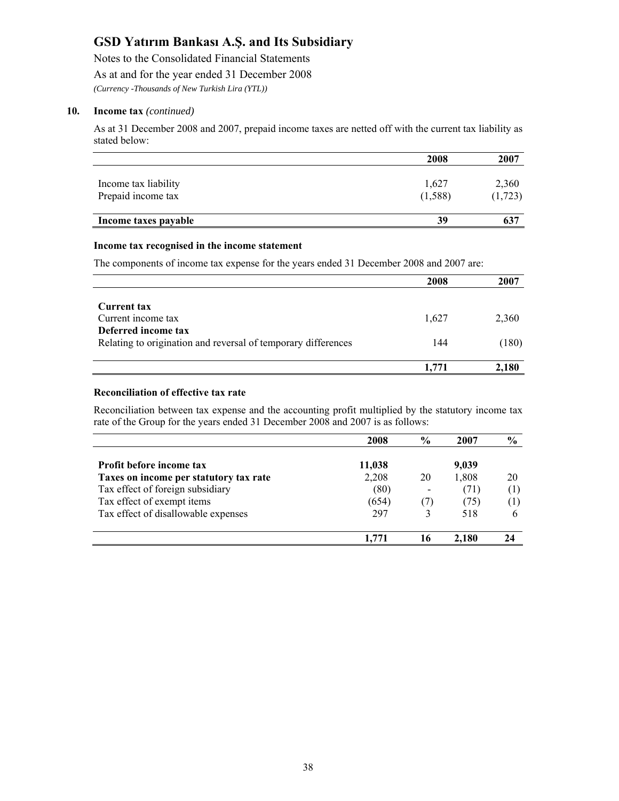Notes to the Consolidated Financial Statements As at and for the year ended 31 December 2008

*(Currency -Thousands of New Turkish Lira (YTL))* 

#### **10. Income tax** *(continued)*

As at 31 December 2008 and 2007, prepaid income taxes are netted off with the current tax liability as stated below:

|                      | 2008    | 2007    |
|----------------------|---------|---------|
|                      |         |         |
| Income tax liability | 1,627   | 2,360   |
| Prepaid income tax   | (1,588) | (1,723) |
| Income taxes payable | 39      | 637     |

#### **Income tax recognised in the income statement**

The components of income tax expense for the years ended 31 December 2008 and 2007 are:

|                                                               | 2008  | 2007  |
|---------------------------------------------------------------|-------|-------|
|                                                               |       |       |
| <b>Current tax</b>                                            |       |       |
| Current income tax                                            | 1.627 | 2,360 |
| Deferred income tax                                           |       |       |
| Relating to origination and reversal of temporary differences | 144   | (180) |
|                                                               | 1.771 | 2,180 |

#### **Reconciliation of effective tax rate**

Reconciliation between tax expense and the accounting profit multiplied by the statutory income tax rate of the Group for the years ended 31 December 2008 and 2007 is as follows:

|                                        | 2008   | $\frac{6}{9}$ | 2007  | $\frac{6}{9}$    |
|----------------------------------------|--------|---------------|-------|------------------|
| <b>Profit before income tax</b>        | 11,038 |               | 9,039 |                  |
| Taxes on income per statutory tax rate | 2,208  | 20            | 1,808 | 20               |
| Tax effect of foreign subsidiary       | (80)   | -             | (71)  | $\left(1\right)$ |
| Tax effect of exempt items             | (654)  | (7)           | (75)  | $\left(1\right)$ |
| Tax effect of disallowable expenses    | 297    |               | 518   | 6                |
|                                        |        | 16            | 2.180 |                  |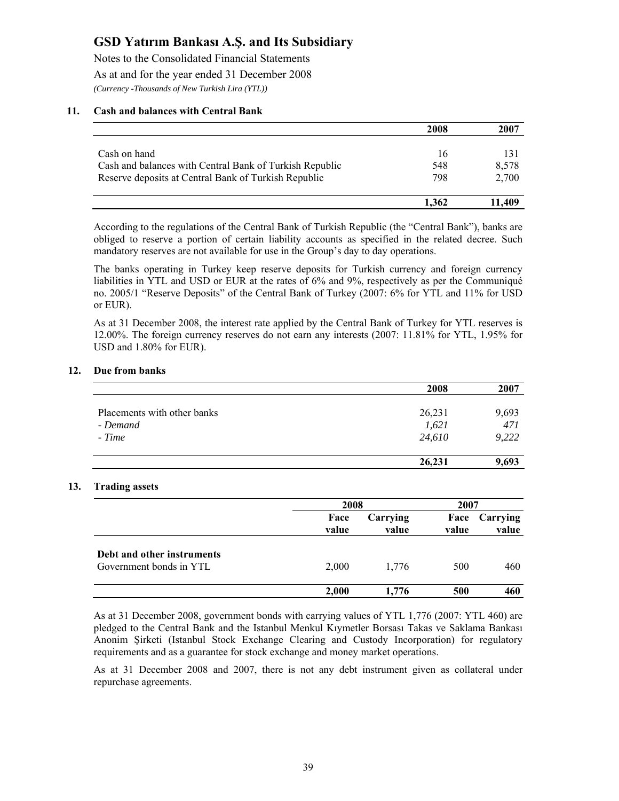Notes to the Consolidated Financial Statements As at and for the year ended 31 December 2008 *(Currency -Thousands of New Turkish Lira (YTL))* 

#### **11. Cash and balances with Central Bank**

|                                                         | 2008  | 2007   |
|---------------------------------------------------------|-------|--------|
|                                                         |       |        |
| Cash on hand                                            | 16    | 131    |
| Cash and balances with Central Bank of Turkish Republic | 548   | 8,578  |
| Reserve deposits at Central Bank of Turkish Republic    | 798   | 2,700  |
|                                                         | 1.362 | 11,409 |

According to the regulations of the Central Bank of Turkish Republic (the "Central Bank"), banks are obliged to reserve a portion of certain liability accounts as specified in the related decree. Such mandatory reserves are not available for use in the Group's day to day operations.

The banks operating in Turkey keep reserve deposits for Turkish currency and foreign currency liabilities in YTL and USD or EUR at the rates of 6% and 9%, respectively as per the Communiqué no. 2005/1 "Reserve Deposits" of the Central Bank of Turkey (2007: 6% for YTL and 11% for USD or EUR).

As at 31 December 2008, the interest rate applied by the Central Bank of Turkey for YTL reserves is 12.00%. The foreign currency reserves do not earn any interests (2007: 11.81% for YTL, 1.95% for USD and 1.80% for EUR).

#### **12. Due from banks**

|                             | 2008   | 2007  |
|-----------------------------|--------|-------|
|                             |        |       |
| Placements with other banks | 26,231 | 9,693 |
| - Demand                    | 1,621  | 471   |
| - Time                      | 24,610 | 9,222 |
|                             | 26,231 | 9,693 |

#### **13. Trading assets**

|                                                       |               | 2008              |       | 2007                   |
|-------------------------------------------------------|---------------|-------------------|-------|------------------------|
|                                                       | Face<br>value | Carrying<br>value | value | Face Carrying<br>value |
| Debt and other instruments<br>Government bonds in YTL | 2,000         | 1.776             | 500   | 460                    |
|                                                       | 2,000         | 1.776             | 500   | 460                    |

As at 31 December 2008, government bonds with carrying values of YTL 1,776 (2007: YTL 460) are pledged to the Central Bank and the Istanbul Menkul Kıymetler Borsası Takas ve Saklama Bankası Anonim Şirketi (Istanbul Stock Exchange Clearing and Custody Incorporation) for regulatory requirements and as a guarantee for stock exchange and money market operations.

As at 31 December 2008 and 2007, there is not any debt instrument given as collateral under repurchase agreements.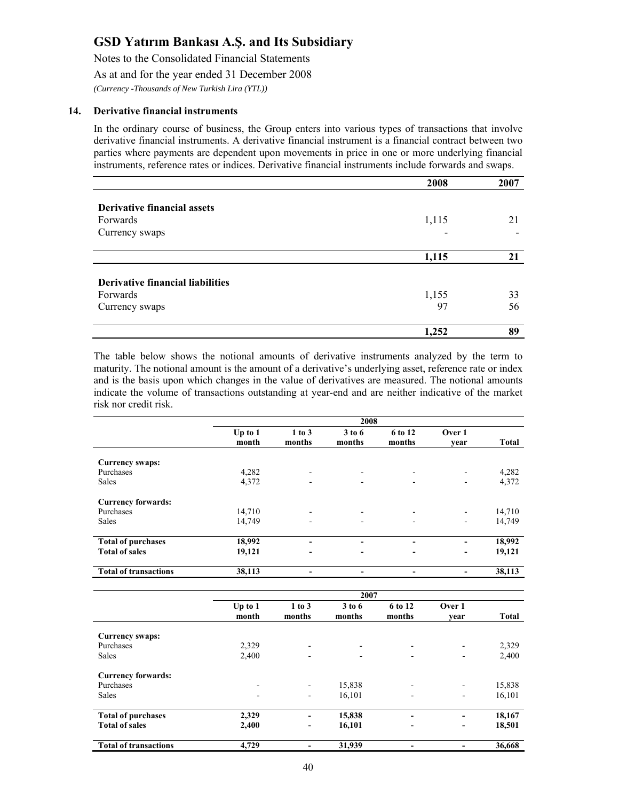Notes to the Consolidated Financial Statements

As at and for the year ended 31 December 2008

*(Currency -Thousands of New Turkish Lira (YTL))* 

#### **14. Derivative financial instruments**

In the ordinary course of business, the Group enters into various types of transactions that involve derivative financial instruments. A derivative financial instrument is a financial contract between two parties where payments are dependent upon movements in price in one or more underlying financial instruments, reference rates or indices. Derivative financial instruments include forwards and swaps.

|                                         | 2008  | 2007 |
|-----------------------------------------|-------|------|
|                                         |       |      |
| <b>Derivative financial assets</b>      |       |      |
| Forwards                                | 1,115 | 21   |
| Currency swaps                          |       |      |
|                                         |       |      |
|                                         | 1,115 | 21   |
|                                         |       |      |
| <b>Derivative financial liabilities</b> |       |      |
| Forwards                                | 1,155 | 33   |
| Currency swaps                          | 97    | 56   |
|                                         |       |      |
|                                         | 1,252 | 89   |

The table below shows the notional amounts of derivative instruments analyzed by the term to maturity. The notional amount is the amount of a derivative's underlying asset, reference rate or index and is the basis upon which changes in the value of derivatives are measured. The notional amounts indicate the volume of transactions outstanding at year-end and are neither indicative of the market risk nor credit risk.

|                              | 2008             |                  |                          |                   |                                                                                                                                                   |              |
|------------------------------|------------------|------------------|--------------------------|-------------------|---------------------------------------------------------------------------------------------------------------------------------------------------|--------------|
|                              | Up to 1<br>month | 1 to 3<br>months | 3 to 6<br>months         | 6 to 12<br>months | Over 1<br>year                                                                                                                                    | <b>Total</b> |
| Currency swaps:              |                  |                  |                          |                   |                                                                                                                                                   |              |
| Purchases                    | 4,282            |                  |                          |                   |                                                                                                                                                   | 4,282        |
| <b>Sales</b>                 | 4,372            | ۰                | $\,$                     | $\,$              | $\overline{\phantom{a}}$                                                                                                                          | 4,372        |
| <b>Currency forwards:</b>    |                  |                  |                          |                   |                                                                                                                                                   |              |
| Purchases                    | 14,710           |                  |                          |                   |                                                                                                                                                   | 14,710       |
| <b>Sales</b>                 | 14,749           |                  |                          |                   | $\overline{\phantom{a}}$                                                                                                                          | 14,749       |
| <b>Total of purchases</b>    | 18,992           |                  |                          |                   |                                                                                                                                                   | 18,992       |
| <b>Total of sales</b>        | 19,121           |                  | $\overline{\phantom{0}}$ |                   | $\hskip1.6pt\hskip1.6pt\hskip1.6pt\hskip1.6pt\hskip1.6pt\hskip1.6pt\hskip1.6pt\hskip1.6pt\hskip1.6pt\hskip1.6pt\hskip1.6pt\hskip1.6pt\hskip1.6pt$ | 19,121       |
| <b>Total of transactions</b> | 38,113           |                  |                          |                   |                                                                                                                                                   | 38,113       |

|                              | 2007                     |                              |                  |                              |                          |              |
|------------------------------|--------------------------|------------------------------|------------------|------------------------------|--------------------------|--------------|
|                              | Up to $1$<br>month       | 1 to 3<br>months             | 3 to 6<br>months | 6 to 12<br>months            | Over 1<br>year           | <b>Total</b> |
| Currency swaps:              |                          |                              |                  |                              |                          |              |
| Purchases                    | 2,329                    | $\overline{\phantom{a}}$     | ۰                | $\overline{\phantom{a}}$     |                          | 2,329        |
| <b>Sales</b>                 | 2,400                    | $\overline{\phantom{a}}$     | -                | $\overline{\phantom{a}}$     | ٠                        | 2,400        |
| <b>Currency forwards:</b>    |                          |                              |                  |                              |                          |              |
| Purchases                    | $\overline{\phantom{a}}$ | $\overline{\phantom{a}}$     | 15,838           | ۰                            | ۰                        | 15,838       |
| <b>Sales</b>                 | $\blacksquare$           | $\overline{\phantom{a}}$     | 16,101           | ٠                            | ٠                        | 16,101       |
| <b>Total of purchases</b>    | 2,329                    | $\qquad \qquad \blacksquare$ | 15,838           | $\qquad \qquad \blacksquare$ | $\overline{\phantom{0}}$ | 18,167       |
| <b>Total of sales</b>        | 2,400                    | $\blacksquare$               | 16,101           | $\overline{\phantom{a}}$     | $\overline{\phantom{a}}$ | 18,501       |
| <b>Total of transactions</b> | 4,729                    |                              | 31,939           |                              |                          | 36,668       |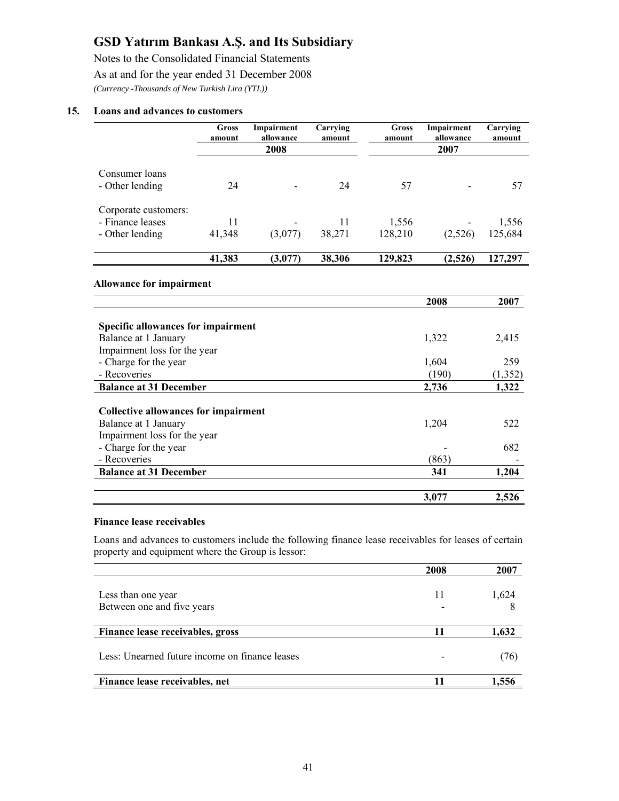Notes to the Consolidated Financial Statements As at and for the year ended 31 December 2008 *(Currency -Thousands of New Turkish Lira (YTL))* 

#### **15. Loans and advances to customers**

|                                                                                                   | <b>Gross</b><br>amount | Impairment<br>allowance<br>2008 | Carrying<br>amount | <b>Gross</b><br>amount | Impairment<br>allowance<br>2007 | Carrying<br>amount |
|---------------------------------------------------------------------------------------------------|------------------------|---------------------------------|--------------------|------------------------|---------------------------------|--------------------|
| Consumer loans<br>- Other lending                                                                 | 24                     |                                 | 24                 | 57                     |                                 | 57                 |
|                                                                                                   |                        |                                 |                    |                        |                                 |                    |
| Corporate customers:                                                                              |                        |                                 |                    |                        |                                 |                    |
| - Finance leases                                                                                  | 11                     |                                 | 11                 | 1,556                  |                                 | 1,556              |
| - Other lending                                                                                   | 41,348                 | (3,077)                         | 38,271             | 128,210                | (2,526)                         | 125,684            |
|                                                                                                   | 41,383                 | (3,077)                         | 38,306             | 129,823                | (2,526)                         | 127,297            |
| <b>Specific allowances for impairment</b><br>Balance at 1 January<br>Impairment loss for the year |                        |                                 |                    |                        | 1,322                           | 2,415              |
| - Charge for the year                                                                             |                        |                                 |                    |                        | 1,604                           | 259                |
| - Recoveries                                                                                      |                        |                                 |                    |                        | (190)                           | (1, 352)           |
| <b>Balance at 31 December</b>                                                                     |                        |                                 |                    |                        | 2,736                           | 1,322              |
| <b>Collective allowances for impairment</b><br>Balance at 1 January                               |                        |                                 |                    |                        | 1,204                           | 522                |
| Impairment loss for the year                                                                      |                        |                                 |                    |                        |                                 |                    |
| - Charge for the year                                                                             |                        |                                 |                    |                        |                                 | 682                |
| - Recoveries                                                                                      |                        |                                 |                    |                        | (863)                           |                    |
| <b>Balance at 31 December</b>                                                                     |                        |                                 |                    |                        | 341                             | 1,204              |
|                                                                                                   |                        |                                 |                    |                        | 3,077                           | 2,526              |

#### **Finance lease receivables**

Loans and advances to customers include the following finance lease receivables for leases of certain property and equipment where the Group is lessor:

|                                                | 2008 | 2007  |
|------------------------------------------------|------|-------|
|                                                |      |       |
| Less than one year                             | 11   | 1,624 |
| Between one and five years                     |      |       |
|                                                |      |       |
| Finance lease receivables, gross               | 11   | 1,632 |
|                                                |      |       |
| Less: Unearned future income on finance leases |      | (76)  |
|                                                |      |       |
| Finance lease receivables, net                 | 11   | 1.556 |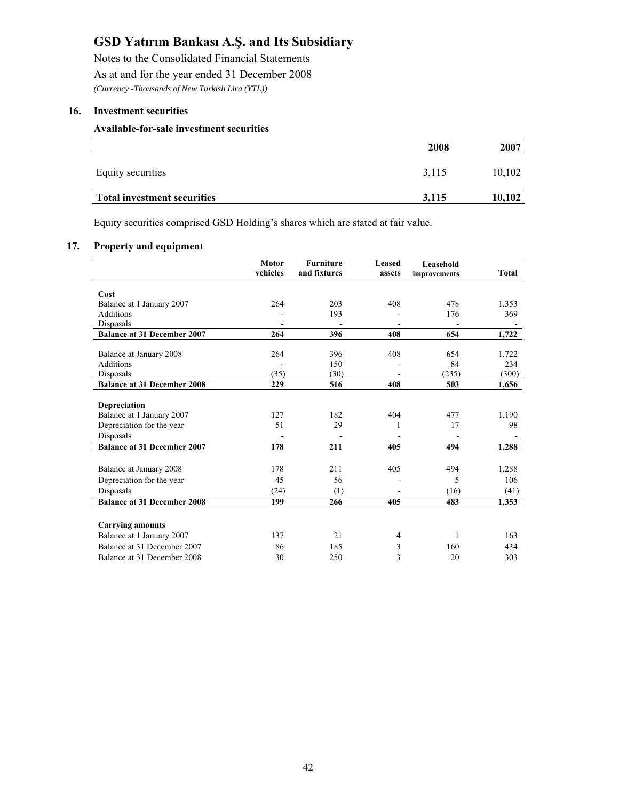Notes to the Consolidated Financial Statements As at and for the year ended 31 December 2008 *(Currency -Thousands of New Turkish Lira (YTL))* 

#### **16. Investment securities**

#### **Available-for-sale investment securities**

|                                    | 2008  | 2007   |
|------------------------------------|-------|--------|
| Equity securities                  | 3,115 | 10,102 |
| <b>Total investment securities</b> | 3,115 | 10,102 |

Equity securities comprised GSD Holding's shares which are stated at fair value.

#### **17. Property and equipment**

|                                    | <b>Motor</b><br>vehicles | <b>Furniture</b><br>and fixtures | <b>Leased</b> | Leasehold    |              |
|------------------------------------|--------------------------|----------------------------------|---------------|--------------|--------------|
|                                    |                          |                                  | assets        | improvements | <b>Total</b> |
| Cost                               |                          |                                  |               |              |              |
| Balance at 1 January 2007          | 264                      | 203                              | 408           | 478          | 1,353        |
| <b>Additions</b>                   |                          | 193                              |               | 176          | 369          |
| Disposals                          |                          |                                  |               |              |              |
| <b>Balance at 31 December 2007</b> | 264                      | 396                              | 408           | 654          | 1,722        |
|                                    |                          |                                  |               |              |              |
| Balance at January 2008            | 264                      | 396                              | 408           | 654          | 1,722        |
| <b>Additions</b>                   |                          | 150                              |               | 84           | 234          |
| Disposals                          | (35)                     | (30)                             |               | (235)        | (300)        |
| <b>Balance at 31 December 2008</b> | 229                      | 516                              | 408           | 503          | 1,656        |
|                                    |                          |                                  |               |              |              |
| <b>Depreciation</b>                |                          |                                  |               |              |              |
| Balance at 1 January 2007          | 127                      | 182                              | 404           | 477          | 1,190        |
| Depreciation for the year          | 51                       | 29                               |               | 17           | 98           |
| Disposals                          |                          |                                  |               |              |              |
| <b>Balance at 31 December 2007</b> | 178                      | 211                              | 405           | 494          | 1,288        |
|                                    |                          |                                  |               |              |              |
| Balance at January 2008            | 178                      | 211                              | 405           | 494          | 1,288        |
| Depreciation for the year          | 45                       | 56                               |               | 5            | 106          |
| Disposals                          | (24)                     | (1)                              |               | (16)         | (41)         |
| <b>Balance at 31 December 2008</b> | 199                      | 266                              | 405           | 483          | 1,353        |
|                                    |                          |                                  |               |              |              |
| <b>Carrying amounts</b>            |                          |                                  |               |              |              |
| Balance at 1 January 2007          | 137                      | 21                               | 4             | 1            | 163          |
| Balance at 31 December 2007        | 86                       | 185                              | 3             | 160          | 434          |
| Balance at 31 December 2008        | 30                       | 250                              | 3             | 20           | 303          |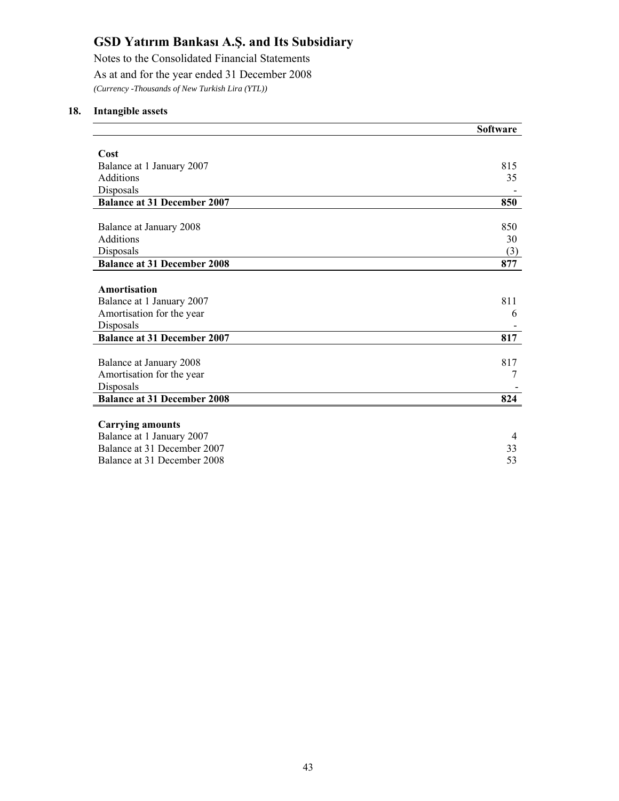Notes to the Consolidated Financial Statements As at and for the year ended 31 December 2008 *(Currency -Thousands of New Turkish Lira (YTL))* 

#### **18. Intangible assets**

|                                    | <b>Software</b> |
|------------------------------------|-----------------|
|                                    |                 |
| Cost                               |                 |
| Balance at 1 January 2007          | 815             |
| Additions                          | 35              |
| Disposals                          |                 |
| <b>Balance at 31 December 2007</b> | 850             |
|                                    |                 |
| Balance at January 2008            | 850             |
| <b>Additions</b>                   | 30              |
| Disposals                          | (3)             |
| <b>Balance at 31 December 2008</b> | 877             |
|                                    |                 |
| Amortisation                       |                 |
| Balance at 1 January 2007          | 811             |
| Amortisation for the year          | 6               |
| Disposals                          |                 |
| <b>Balance at 31 December 2007</b> | 817             |
|                                    |                 |
| Balance at January 2008            | 817             |
| Amortisation for the year          | 7               |
| Disposals                          |                 |
| <b>Balance at 31 December 2008</b> | 824             |
|                                    |                 |
| <b>Carrying amounts</b>            |                 |
| Balance at 1 January 2007          | $\overline{4}$  |
| Balance at 31 December 2007        | 33              |
| Balance at 31 December 2008        | 53              |
|                                    |                 |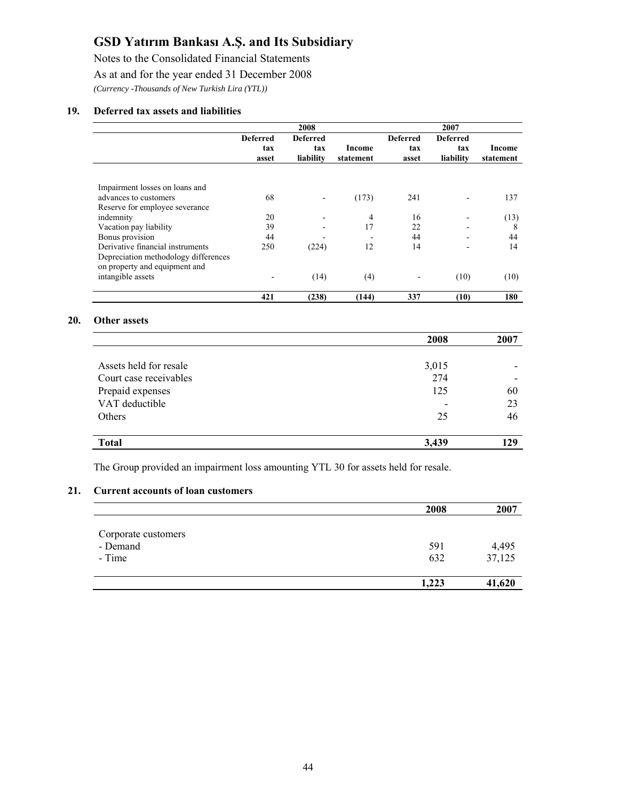Notes to the Consolidated Financial Statements

As at and for the year ended 31 December 2008

*(Currency -Thousands of New Turkish Lira (YTL))* 

#### **19. Deferred tax assets and liabilities**

|                                                                       |                                 | 2008                                |                     |                                 | 2007                                |                     |
|-----------------------------------------------------------------------|---------------------------------|-------------------------------------|---------------------|---------------------------------|-------------------------------------|---------------------|
|                                                                       | <b>Deferred</b><br>tax<br>asset | <b>Deferred</b><br>tax<br>liability | Income<br>statement | <b>Deferred</b><br>tax<br>asset | <b>Deferred</b><br>tax<br>liability | Income<br>statement |
|                                                                       |                                 |                                     |                     |                                 |                                     |                     |
| Impairment losses on loans and                                        |                                 |                                     |                     |                                 |                                     |                     |
| advances to customers                                                 | 68                              | $\overline{\phantom{a}}$            | (173)               | 241                             |                                     | 137                 |
| Reserve for employee severance                                        |                                 |                                     |                     |                                 |                                     |                     |
| indemnity                                                             | 20                              |                                     | 4                   | 16                              |                                     | (13)                |
| Vacation pay liability                                                | 39                              |                                     | 17                  | 22                              |                                     | 8                   |
| Bonus provision                                                       | 44                              |                                     |                     | 44                              |                                     | 44                  |
| Derivative financial instruments                                      | 250                             | (224)                               | 12                  | 14                              |                                     | 14                  |
| Depreciation methodology differences<br>on property and equipment and |                                 |                                     |                     |                                 |                                     |                     |
| intangible assets                                                     |                                 | (14)                                | (4)                 |                                 | (10)                                | (10)                |
|                                                                       | 421                             | (238)                               | (144)               | 337                             | (10)                                | 180                 |

#### **20. Other assets**

|                        | 2008  | 2007 |
|------------------------|-------|------|
|                        |       |      |
| Assets held for resale | 3,015 |      |
| Court case receivables | 274   |      |
| Prepaid expenses       | 125   | 60   |
| VAT deductible         |       | 23   |
| Others                 | 25    | 46   |
|                        |       |      |
| <b>Total</b>           | 3,439 | 129  |

The Group provided an impairment loss amounting YTL 30 for assets held for resale.

#### **21. Current accounts of loan customers**

|                     | 2008  | 2007   |
|---------------------|-------|--------|
|                     |       |        |
| Corporate customers |       |        |
| - Demand            | 591   | 4,495  |
| - Time              | 632   | 37,125 |
|                     | 1,223 | 41,620 |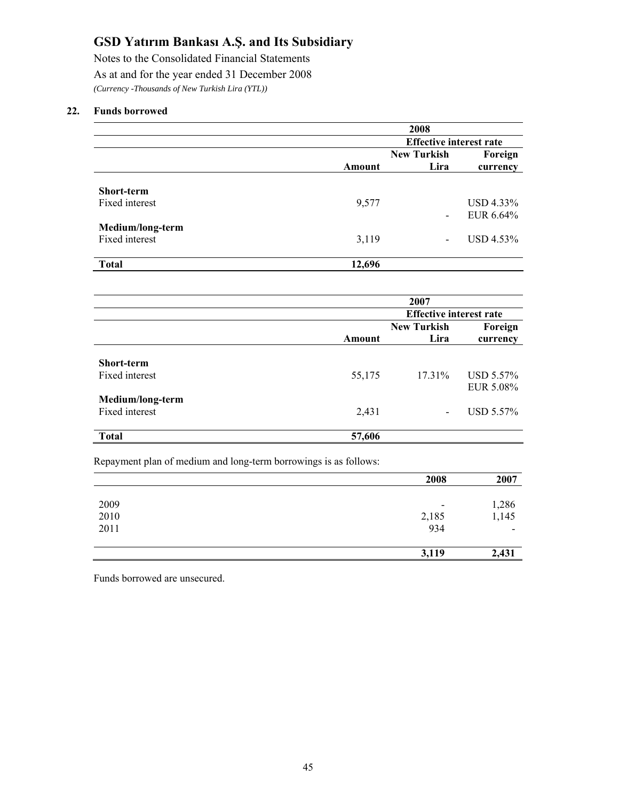Notes to the Consolidated Financial Statements As at and for the year ended 31 December 2008 *(Currency -Thousands of New Turkish Lira (YTL))* 

#### **22. Funds borrowed**

|                   |        | 2008                           |           |
|-------------------|--------|--------------------------------|-----------|
|                   |        | <b>Effective interest rate</b> |           |
|                   |        | <b>New Turkish</b>             | Foreign   |
|                   | Amount | Lira                           | currency  |
|                   |        |                                |           |
| <b>Short-term</b> |        |                                |           |
| Fixed interest    | 9,577  |                                | USD 4.33% |
|                   |        | $\overline{\phantom{0}}$       | EUR 6.64% |
| Medium/long-term  |        |                                |           |
| Fixed interest    | 3,119  | $\overline{\phantom{0}}$       | USD 4.53% |
|                   |        |                                |           |
| <b>Total</b>      | 12,696 |                                |           |

|                   |        | 2007                           |           |
|-------------------|--------|--------------------------------|-----------|
|                   |        | <b>Effective interest rate</b> |           |
|                   |        | <b>New Turkish</b>             | Foreign   |
|                   | Amount | Lira                           | currency  |
| <b>Short-term</b> |        |                                |           |
| Fixed interest    | 55,175 | 17.31%                         | USD 5.57% |
|                   |        |                                | EUR 5.08% |
| Medium/long-term  |        |                                |           |
| Fixed interest    | 2,431  |                                | USD 5.57% |
| <b>Total</b>      | 57,606 |                                |           |

Repayment plan of medium and long-term borrowings is as follows:

|      | 2008                     | 2007           |
|------|--------------------------|----------------|
|      |                          |                |
| 2009 | $\overline{\phantom{a}}$ |                |
| 2010 |                          | 1,286<br>1,145 |
| 2011 | 2,185<br>934             |                |
|      | 3,119                    | 2,431          |

Funds borrowed are unsecured.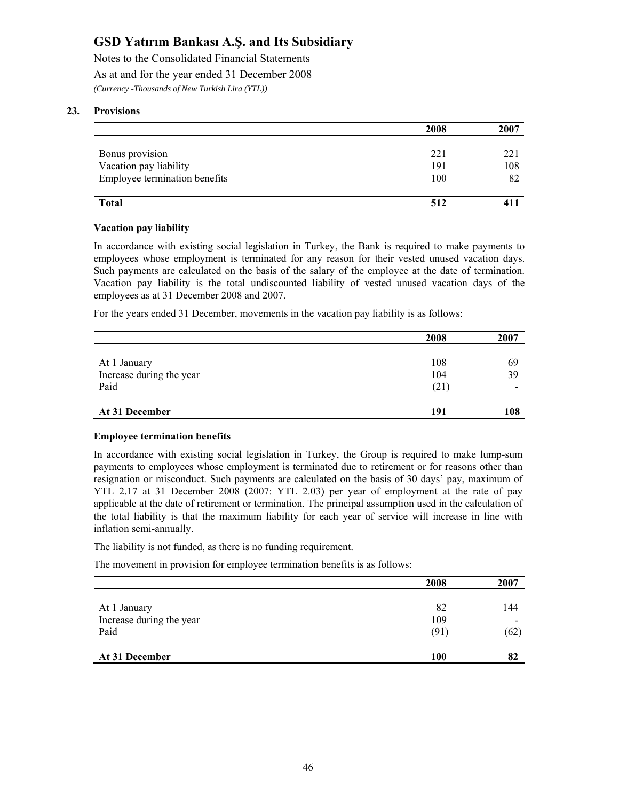Notes to the Consolidated Financial Statements As at and for the year ended 31 December 2008 *(Currency -Thousands of New Turkish Lira (YTL))* 

#### **23. Provisions**

|                               | 2008 | 2007 |
|-------------------------------|------|------|
|                               |      |      |
| Bonus provision               | 221  | 221  |
| Vacation pay liability        | 191  | 108  |
| Employee termination benefits | 100  | 82   |
|                               |      |      |
| <b>Total</b>                  | 512  | 411  |

#### **Vacation pay liability**

In accordance with existing social legislation in Turkey, the Bank is required to make payments to employees whose employment is terminated for any reason for their vested unused vacation days. Such payments are calculated on the basis of the salary of the employee at the date of termination. Vacation pay liability is the total undiscounted liability of vested unused vacation days of the employees as at 31 December 2008 and 2007.

For the years ended 31 December, movements in the vacation pay liability is as follows:

|                          | 2008 | 2007                     |
|--------------------------|------|--------------------------|
|                          |      |                          |
| At 1 January             | 108  | 69                       |
| Increase during the year | 104  | 39                       |
| Paid                     | (21) | $\overline{\phantom{a}}$ |
|                          |      |                          |
| At 31 December           | 191  | 108                      |

#### **Employee termination benefits**

In accordance with existing social legislation in Turkey, the Group is required to make lump-sum payments to employees whose employment is terminated due to retirement or for reasons other than resignation or misconduct. Such payments are calculated on the basis of 30 days' pay, maximum of YTL 2.17 at 31 December 2008 (2007: YTL 2.03) per year of employment at the rate of pay applicable at the date of retirement or termination. The principal assumption used in the calculation of the total liability is that the maximum liability for each year of service will increase in line with inflation semi-annually.

The liability is not funded, as there is no funding requirement.

The movement in provision for employee termination benefits is as follows:

|                          | 2008 | 2007 |
|--------------------------|------|------|
| At 1 January             | 82   | 144  |
| Increase during the year | 109  |      |
| Paid                     | (91) | (62) |
| At 31 December           | 100  |      |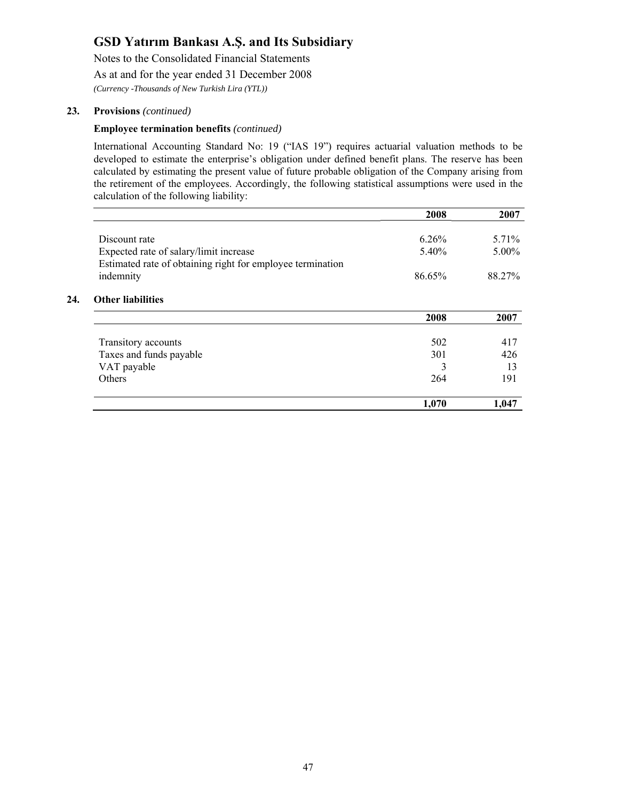Notes to the Consolidated Financial Statements

As at and for the year ended 31 December 2008

*(Currency -Thousands of New Turkish Lira (YTL))* 

#### **23. Provisions** *(continued)*

**24.** 

#### **Employee termination benefits** *(continued)*

International Accounting Standard No: 19 ("IAS 19") requires actuarial valuation methods to be developed to estimate the enterprise's obligation under defined benefit plans. The reserve has been calculated by estimating the present value of future probable obligation of the Company arising from the retirement of the employees. Accordingly, the following statistical assumptions were used in the calculation of the following liability:

|                                                                                                      | 2008   | 2007     |
|------------------------------------------------------------------------------------------------------|--------|----------|
| Discount rate                                                                                        | 6.26%  | $5.71\%$ |
|                                                                                                      |        |          |
| Expected rate of salary/limit increase<br>Estimated rate of obtaining right for employee termination | 5.40%  | $5.00\%$ |
| indemnity                                                                                            | 86.65% | 88.27%   |
| <b>Other liabilities</b>                                                                             |        |          |
|                                                                                                      | 2008   | 2007     |
| Transitory accounts                                                                                  | 502    | 417      |
| Taxes and funds payable                                                                              | 301    | 426      |
| VAT payable                                                                                          | 3      | 13       |
| <b>Others</b>                                                                                        | 264    | 191      |
|                                                                                                      | 1,070  | 1,047    |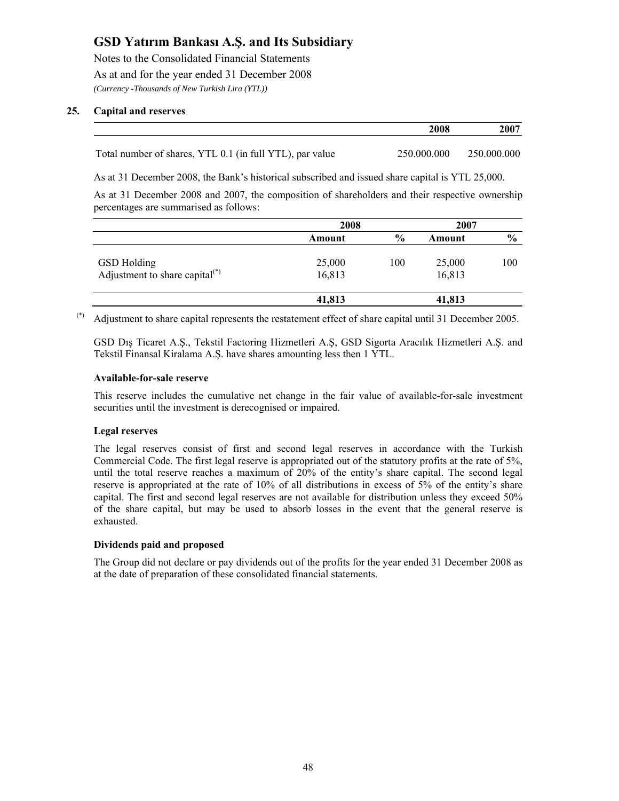Notes to the Consolidated Financial Statements As at and for the year ended 31 December 2008 *(Currency -Thousands of New Turkish Lira (YTL))* 

#### **25. Capital and reserves**

|                                                          | 2008        | 2007        |
|----------------------------------------------------------|-------------|-------------|
|                                                          |             |             |
| Total number of shares, YTL 0.1 (in full YTL), par value | 250.000.000 | 250,000,000 |

As at 31 December 2008, the Bank's historical subscribed and issued share capital is YTL 25,000.

As at 31 December 2008 and 2007, the composition of shareholders and their respective ownership percentages are summarised as follows:

|                                   | 2008   |               | 2007   |               |
|-----------------------------------|--------|---------------|--------|---------------|
|                                   | Amount | $\frac{6}{9}$ | Amount | $\frac{6}{9}$ |
| <b>GSD</b> Holding                | 25,000 | 100           | 25,000 | 100           |
| Adjustment to share capital $(*)$ | 16,813 |               | 16,813 |               |
|                                   | 41,813 |               | 41,813 |               |

(\*) Adjustment to share capital represents the restatement effect of share capital until 31 December 2005.

GSD Dış Ticaret A.Ş., Tekstil Factoring Hizmetleri A.Ş, GSD Sigorta Aracılık Hizmetleri A.Ş. and Tekstil Finansal Kiralama A.Ş. have shares amounting less then 1 YTL.

#### **Available-for-sale reserve**

This reserve includes the cumulative net change in the fair value of available-for-sale investment securities until the investment is derecognised or impaired.

#### **Legal reserves**

The legal reserves consist of first and second legal reserves in accordance with the Turkish Commercial Code. The first legal reserve is appropriated out of the statutory profits at the rate of 5%, until the total reserve reaches a maximum of 20% of the entity's share capital. The second legal reserve is appropriated at the rate of 10% of all distributions in excess of 5% of the entity's share capital. The first and second legal reserves are not available for distribution unless they exceed 50% of the share capital, but may be used to absorb losses in the event that the general reserve is exhausted.

#### **Dividends paid and proposed**

The Group did not declare or pay dividends out of the profits for the year ended 31 December 2008 as at the date of preparation of these consolidated financial statements.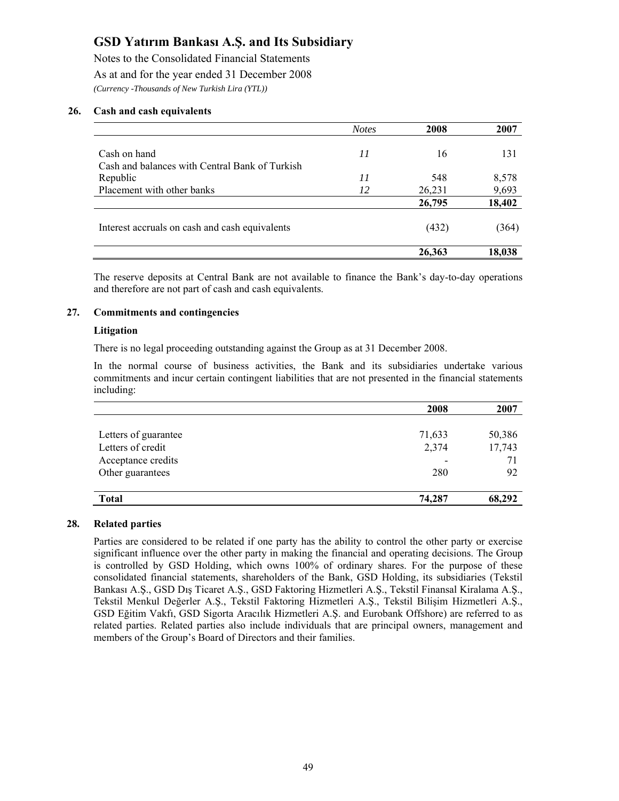Notes to the Consolidated Financial Statements As at and for the year ended 31 December 2008 *(Currency -Thousands of New Turkish Lira (YTL))* 

#### **26. Cash and cash equivalents**

|                                                | <b>Notes</b> | 2008   | 2007   |
|------------------------------------------------|--------------|--------|--------|
|                                                |              |        |        |
| Cash on hand                                   | 11           | 16     | 131    |
| Cash and balances with Central Bank of Turkish |              |        |        |
| Republic                                       | 11           | 548    | 8,578  |
| Placement with other banks                     | 12           | 26,231 | 9,693  |
|                                                |              | 26,795 | 18,402 |
| Interest accruals on cash and cash equivalents |              | (432)  | (364)  |
|                                                |              | 26,363 | 18,038 |

The reserve deposits at Central Bank are not available to finance the Bank's day-to-day operations and therefore are not part of cash and cash equivalents.

#### **27. Commitments and contingencies**

#### **Litigation**

There is no legal proceeding outstanding against the Group as at 31 December 2008.

In the normal course of business activities, the Bank and its subsidiaries undertake various commitments and incur certain contingent liabilities that are not presented in the financial statements including:

|                      | 2008   | 2007   |
|----------------------|--------|--------|
|                      |        |        |
| Letters of guarantee | 71,633 | 50,386 |
| Letters of credit    | 2,374  | 17,743 |
| Acceptance credits   |        | 71     |
| Other guarantees     | 280    | 92     |
|                      |        |        |
| <b>Total</b>         | 74,287 | 68,292 |

#### **28. Related parties**

Parties are considered to be related if one party has the ability to control the other party or exercise significant influence over the other party in making the financial and operating decisions. The Group is controlled by GSD Holding, which owns 100% of ordinary shares. For the purpose of these consolidated financial statements, shareholders of the Bank, GSD Holding, its subsidiaries (Tekstil Bankası A.Ş., GSD Dış Ticaret A.Ş., GSD Faktoring Hizmetleri A.Ş., Tekstil Finansal Kiralama A.Ş., Tekstil Menkul Değerler A.Ş., Tekstil Faktoring Hizmetleri A.Ş., Tekstil Bilişim Hizmetleri A.Ş., GSD Eğitim Vakfı, GSD Sigorta Aracılık Hizmetleri A.Ş. and Eurobank Offshore) are referred to as related parties. Related parties also include individuals that are principal owners, management and members of the Group's Board of Directors and their families.